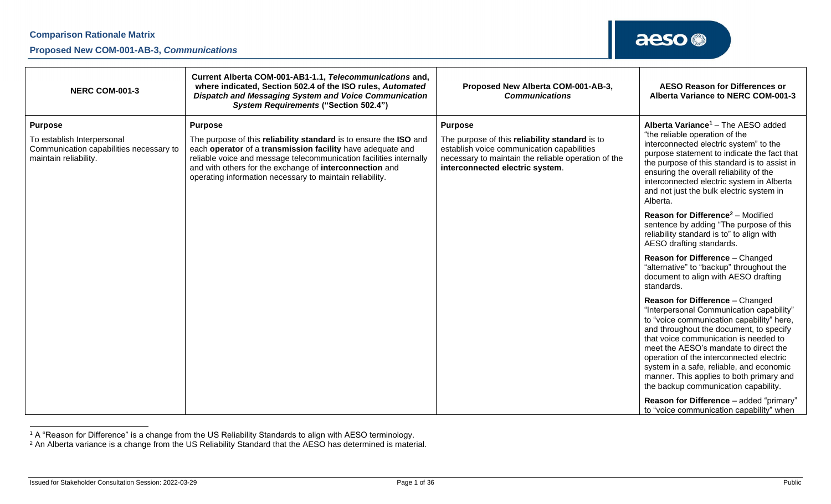#### **Proposed New COM-001-AB-3,** *Communications*

| <b>NERC COM-001-3</b>                                                                                            | Current Alberta COM-001-AB1-1.1, Telecommunications and,<br>where indicated, Section 502.4 of the ISO rules, Automated<br><b>Dispatch and Messaging System and Voice Communication</b><br><b>System Requirements ("Section 502.4")</b>                                                                                                         | Proposed New Alberta COM-001-AB-3,<br><b>Communications</b>                                                                                                                                              | <b>AESO Reason for Differences or</b><br>Alberta Variance to NERC COM-001-3                                                                                                                                                                                                                                                                                                                                                       |
|------------------------------------------------------------------------------------------------------------------|------------------------------------------------------------------------------------------------------------------------------------------------------------------------------------------------------------------------------------------------------------------------------------------------------------------------------------------------|----------------------------------------------------------------------------------------------------------------------------------------------------------------------------------------------------------|-----------------------------------------------------------------------------------------------------------------------------------------------------------------------------------------------------------------------------------------------------------------------------------------------------------------------------------------------------------------------------------------------------------------------------------|
| <b>Purpose</b><br>To establish Interpersonal<br>Communication capabilities necessary to<br>maintain reliability. | <b>Purpose</b><br>The purpose of this reliability standard is to ensure the ISO and<br>each operator of a transmission facility have adequate and<br>reliable voice and message telecommunication facilities internally<br>and with others for the exchange of interconnection and<br>operating information necessary to maintain reliability. | <b>Purpose</b><br>The purpose of this reliability standard is to<br>establish voice communication capabilities<br>necessary to maintain the reliable operation of the<br>interconnected electric system. | Alberta Variance <sup>1</sup> - The AESO added<br>"the reliable operation of the<br>interconnected electric system" to the<br>purpose statement to indicate the fact that<br>the purpose of this standard is to assist in<br>ensuring the overall reliability of the<br>interconnected electric system in Alberta<br>and not just the bulk electric system in<br>Alberta.                                                         |
|                                                                                                                  |                                                                                                                                                                                                                                                                                                                                                |                                                                                                                                                                                                          | <b>Reason for Difference<sup>2</sup></b> – Modified<br>sentence by adding "The purpose of this<br>reliability standard is to" to align with<br>AESO drafting standards.                                                                                                                                                                                                                                                           |
|                                                                                                                  |                                                                                                                                                                                                                                                                                                                                                |                                                                                                                                                                                                          | <b>Reason for Difference - Changed</b><br>"alternative" to "backup" throughout the<br>document to align with AESO drafting<br>standards.                                                                                                                                                                                                                                                                                          |
|                                                                                                                  |                                                                                                                                                                                                                                                                                                                                                |                                                                                                                                                                                                          | Reason for Difference - Changed<br>"Interpersonal Communication capability"<br>to "voice communication capability" here,<br>and throughout the document, to specify<br>that voice communication is needed to<br>meet the AESO's mandate to direct the<br>operation of the interconnected electric<br>system in a safe, reliable, and economic<br>manner. This applies to both primary and<br>the backup communication capability. |
|                                                                                                                  |                                                                                                                                                                                                                                                                                                                                                |                                                                                                                                                                                                          | Reason for Difference - added "primary"<br>to "voice communication capability" when                                                                                                                                                                                                                                                                                                                                               |

 $^{\rm 1}$  A "Reason for Difference" is a change from the US Reliability Standards to align with AESO terminology.

 $2$  An Alberta variance is a change from the US Reliability Standard that the AESO has determined is material.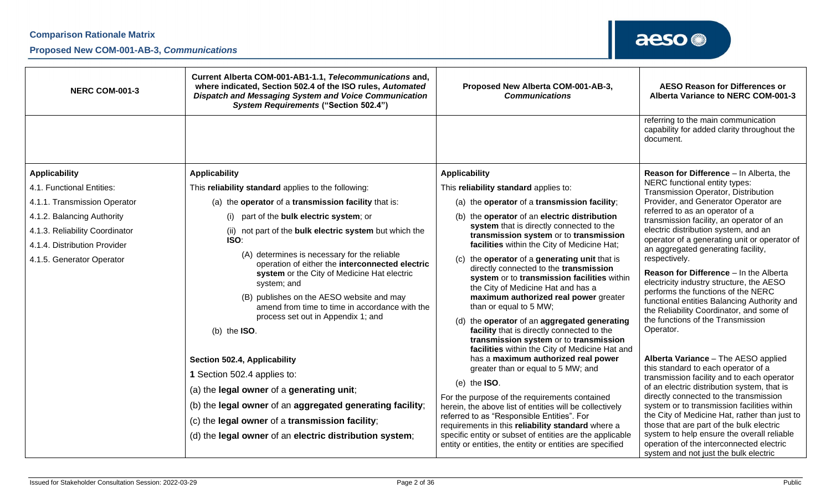### **Proposed New COM-001-AB-3,** *Communications*

| <b>NERC COM-001-3</b>                                                                                                     | Current Alberta COM-001-AB1-1.1, Telecommunications and,<br>where indicated, Section 502.4 of the ISO rules, Automated<br>Dispatch and Messaging System and Voice Communication<br><b>System Requirements ("Section 502.4")</b>                                                                                                                                                                                                     | Proposed New Alberta COM-001-AB-3,<br><b>Communications</b>                                                                                                                                                                                                                                                                                                                                                                                                                                                                                                                           | <b>AESO Reason for Differences or</b><br>Alberta Variance to NERC COM-001-3                                                                                                                                                                                                                                                                                                                                                                                                                         |
|---------------------------------------------------------------------------------------------------------------------------|-------------------------------------------------------------------------------------------------------------------------------------------------------------------------------------------------------------------------------------------------------------------------------------------------------------------------------------------------------------------------------------------------------------------------------------|---------------------------------------------------------------------------------------------------------------------------------------------------------------------------------------------------------------------------------------------------------------------------------------------------------------------------------------------------------------------------------------------------------------------------------------------------------------------------------------------------------------------------------------------------------------------------------------|-----------------------------------------------------------------------------------------------------------------------------------------------------------------------------------------------------------------------------------------------------------------------------------------------------------------------------------------------------------------------------------------------------------------------------------------------------------------------------------------------------|
|                                                                                                                           |                                                                                                                                                                                                                                                                                                                                                                                                                                     |                                                                                                                                                                                                                                                                                                                                                                                                                                                                                                                                                                                       | referring to the main communication<br>capability for added clarity throughout the<br>document.                                                                                                                                                                                                                                                                                                                                                                                                     |
| <b>Applicability</b><br>4.1. Functional Entities:                                                                         | <b>Applicability</b><br>This reliability standard applies to the following:                                                                                                                                                                                                                                                                                                                                                         | <b>Applicability</b><br>This reliability standard applies to:                                                                                                                                                                                                                                                                                                                                                                                                                                                                                                                         | Reason for Difference - In Alberta, the<br>NERC functional entity types:                                                                                                                                                                                                                                                                                                                                                                                                                            |
| 4.1.1. Transmission Operator                                                                                              | (a) the operator of a transmission facility that is:                                                                                                                                                                                                                                                                                                                                                                                | (a) the operator of a transmission facility;                                                                                                                                                                                                                                                                                                                                                                                                                                                                                                                                          | Transmission Operator, Distribution<br>Provider, and Generator Operator are                                                                                                                                                                                                                                                                                                                                                                                                                         |
| 4.1.2. Balancing Authority<br>4.1.3. Reliability Coordinator<br>4.1.4. Distribution Provider<br>4.1.5. Generator Operator | (i) part of the bulk electric system; or<br>(ii) not part of the bulk electric system but which the<br>ISO:<br>(A) determines is necessary for the reliable<br>operation of either the interconnected electric<br>system or the City of Medicine Hat electric<br>system; and<br>(B) publishes on the AESO website and may<br>amend from time to time in accordance with the<br>process set out in Appendix 1; and<br>(b) the $ISO.$ | the operator of an electric distribution<br>(b)<br>system that is directly connected to the<br>transmission system or to transmission<br>facilities within the City of Medicine Hat;<br>the operator of a generating unit that is<br>(c)<br>directly connected to the transmission<br>system or to transmission facilities within<br>the City of Medicine Hat and has a<br>maximum authorized real power greater<br>than or equal to 5 MW;<br>the operator of an aggregated generating<br>(d)<br>facility that is directly connected to the<br>transmission system or to transmission | referred to as an operator of a<br>transmission facility, an operator of an<br>electric distribution system, and an<br>operator of a generating unit or operator of<br>an aggregated generating facility,<br>respectively.<br>Reason for Difference - In the Alberta<br>electricity industry structure, the AESO<br>performs the functions of the NERC<br>functional entities Balancing Authority and<br>the Reliability Coordinator, and some of<br>the functions of the Transmission<br>Operator. |
|                                                                                                                           | Section 502.4, Applicability<br>1 Section 502.4 applies to:<br>(a) the legal owner of a generating unit;<br>(b) the legal owner of an aggregated generating facility;<br>(c) the legal owner of a transmission facility;<br>(d) the legal owner of an electric distribution system;                                                                                                                                                 | facilities within the City of Medicine Hat and<br>has a maximum authorized real power<br>greater than or equal to 5 MW; and<br>(e) the $ISO.$<br>For the purpose of the requirements contained<br>herein, the above list of entities will be collectively<br>referred to as "Responsible Entities". For<br>requirements in this reliability standard where a<br>specific entity or subset of entities are the applicable<br>entity or entities, the entity or entities are specified                                                                                                  | Alberta Variance - The AESO applied<br>this standard to each operator of a<br>transmission facility and to each operator<br>of an electric distribution system, that is<br>directly connected to the transmission<br>system or to transmission facilities within<br>the City of Medicine Hat, rather than just to<br>those that are part of the bulk electric<br>system to help ensure the overall reliable<br>operation of the interconnected electric<br>system and not just the bulk electric    |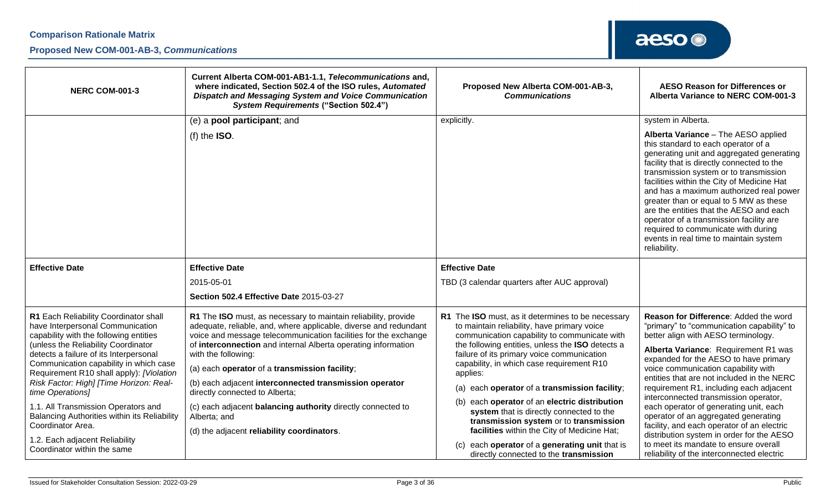### **Proposed New COM-001-AB-3,** *Communications*

| <b>NERC COM-001-3</b>                                                                                                                                                                                                                                                                                                                                                                                                                                                                                   | Current Alberta COM-001-AB1-1.1, Telecommunications and,<br>where indicated, Section 502.4 of the ISO rules, Automated<br>Dispatch and Messaging System and Voice Communication<br><b>System Requirements ("Section 502.4")</b>                                                                                                                                                                                                                                                                                                                                         | Proposed New Alberta COM-001-AB-3,<br><b>Communications</b>                                                                                                                                                                                                                                                                                                                                                                                                                                                                                                                                                   | <b>AESO Reason for Differences or</b><br>Alberta Variance to NERC COM-001-3                                                                                                                                                                                                                                                                                                                                                                                                                                                                                                                                |
|---------------------------------------------------------------------------------------------------------------------------------------------------------------------------------------------------------------------------------------------------------------------------------------------------------------------------------------------------------------------------------------------------------------------------------------------------------------------------------------------------------|-------------------------------------------------------------------------------------------------------------------------------------------------------------------------------------------------------------------------------------------------------------------------------------------------------------------------------------------------------------------------------------------------------------------------------------------------------------------------------------------------------------------------------------------------------------------------|---------------------------------------------------------------------------------------------------------------------------------------------------------------------------------------------------------------------------------------------------------------------------------------------------------------------------------------------------------------------------------------------------------------------------------------------------------------------------------------------------------------------------------------------------------------------------------------------------------------|------------------------------------------------------------------------------------------------------------------------------------------------------------------------------------------------------------------------------------------------------------------------------------------------------------------------------------------------------------------------------------------------------------------------------------------------------------------------------------------------------------------------------------------------------------------------------------------------------------|
|                                                                                                                                                                                                                                                                                                                                                                                                                                                                                                         | (e) a pool participant; and                                                                                                                                                                                                                                                                                                                                                                                                                                                                                                                                             | explicitly.                                                                                                                                                                                                                                                                                                                                                                                                                                                                                                                                                                                                   | system in Alberta.                                                                                                                                                                                                                                                                                                                                                                                                                                                                                                                                                                                         |
|                                                                                                                                                                                                                                                                                                                                                                                                                                                                                                         | (f) the $ISO.$                                                                                                                                                                                                                                                                                                                                                                                                                                                                                                                                                          |                                                                                                                                                                                                                                                                                                                                                                                                                                                                                                                                                                                                               | Alberta Variance - The AESO applied<br>this standard to each operator of a<br>generating unit and aggregated generating<br>facility that is directly connected to the<br>transmission system or to transmission<br>facilities within the City of Medicine Hat<br>and has a maximum authorized real power<br>greater than or equal to 5 MW as these<br>are the entities that the AESO and each<br>operator of a transmission facility are<br>required to communicate with during<br>events in real time to maintain system<br>reliability.                                                                  |
| <b>Effective Date</b>                                                                                                                                                                                                                                                                                                                                                                                                                                                                                   | <b>Effective Date</b>                                                                                                                                                                                                                                                                                                                                                                                                                                                                                                                                                   | <b>Effective Date</b>                                                                                                                                                                                                                                                                                                                                                                                                                                                                                                                                                                                         |                                                                                                                                                                                                                                                                                                                                                                                                                                                                                                                                                                                                            |
|                                                                                                                                                                                                                                                                                                                                                                                                                                                                                                         | 2015-05-01                                                                                                                                                                                                                                                                                                                                                                                                                                                                                                                                                              | TBD (3 calendar quarters after AUC approval)                                                                                                                                                                                                                                                                                                                                                                                                                                                                                                                                                                  |                                                                                                                                                                                                                                                                                                                                                                                                                                                                                                                                                                                                            |
|                                                                                                                                                                                                                                                                                                                                                                                                                                                                                                         | Section 502.4 Effective Date 2015-03-27                                                                                                                                                                                                                                                                                                                                                                                                                                                                                                                                 |                                                                                                                                                                                                                                                                                                                                                                                                                                                                                                                                                                                                               |                                                                                                                                                                                                                                                                                                                                                                                                                                                                                                                                                                                                            |
| R1 Each Reliability Coordinator shall<br>have Interpersonal Communication<br>capability with the following entities<br>(unless the Reliability Coordinator<br>detects a failure of its Interpersonal<br>Communication capability in which case<br>Requirement R10 shall apply): [Violation<br>Risk Factor: High] [Time Horizon: Real-<br>time Operations]<br>1.1. All Transmission Operators and<br>Balancing Authorities within its Reliability<br>Coordinator Area.<br>1.2. Each adjacent Reliability | R1 The ISO must, as necessary to maintain reliability, provide<br>adequate, reliable, and, where applicable, diverse and redundant<br>voice and message telecommunication facilities for the exchange<br>of interconnection and internal Alberta operating information<br>with the following:<br>(a) each operator of a transmission facility;<br>(b) each adjacent interconnected transmission operator<br>directly connected to Alberta;<br>(c) each adjacent balancing authority directly connected to<br>Alberta; and<br>(d) the adjacent reliability coordinators. | R1 The ISO must, as it determines to be necessary<br>to maintain reliability, have primary voice<br>communication capability to communicate with<br>the following entities, unless the ISO detects a<br>failure of its primary voice communication<br>capability, in which case requirement R10<br>applies:<br>each operator of a transmission facility;<br>(a)<br>(b)<br>each operator of an electric distribution<br>system that is directly connected to the<br>transmission system or to transmission<br>facilities within the City of Medicine Hat;<br>each operator of a generating unit that is<br>(c) | Reason for Difference: Added the word<br>"primary" to "communication capability" to<br>better align with AESO terminology.<br>Alberta Variance: Requirement R1 was<br>expanded for the AESO to have primary<br>voice communication capability with<br>entities that are not included in the NERC<br>requirement R1, including each adjacent<br>interconnected transmission operator,<br>each operator of generating unit, each<br>operator of an aggregated generating<br>facility, and each operator of an electric<br>distribution system in order for the AESO<br>to meet its mandate to ensure overall |
| Coordinator within the same                                                                                                                                                                                                                                                                                                                                                                                                                                                                             |                                                                                                                                                                                                                                                                                                                                                                                                                                                                                                                                                                         | directly connected to the transmission                                                                                                                                                                                                                                                                                                                                                                                                                                                                                                                                                                        | reliability of the interconnected electric                                                                                                                                                                                                                                                                                                                                                                                                                                                                                                                                                                 |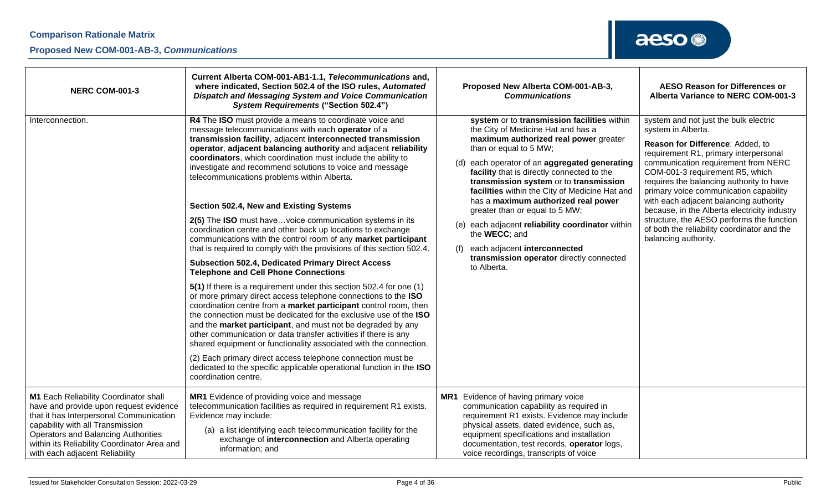| <b>NERC COM-001-3</b>                                                                                                                                                                                                                                                                         | Current Alberta COM-001-AB1-1.1, Telecommunications and,<br>where indicated, Section 502.4 of the ISO rules, Automated<br><b>Dispatch and Messaging System and Voice Communication</b><br><b>System Requirements ("Section 502.4")</b>                                                                                                                                                                                                                                                                                                                                                                                                                                                                                                                                                                                                                                                                                                                                                                                                                                                                                                                                                                                                                                                                                                                                                                                                                                                                         | Proposed New Alberta COM-001-AB-3,<br><b>Communications</b>                                                                                                                                                                                                                                                                                                                                                                                                                                                                                                                                        | <b>AESO Reason for Differences or</b><br>Alberta Variance to NERC COM-001-3                                                                                                                                                                                                                                                                                                                                                                                                                                            |
|-----------------------------------------------------------------------------------------------------------------------------------------------------------------------------------------------------------------------------------------------------------------------------------------------|----------------------------------------------------------------------------------------------------------------------------------------------------------------------------------------------------------------------------------------------------------------------------------------------------------------------------------------------------------------------------------------------------------------------------------------------------------------------------------------------------------------------------------------------------------------------------------------------------------------------------------------------------------------------------------------------------------------------------------------------------------------------------------------------------------------------------------------------------------------------------------------------------------------------------------------------------------------------------------------------------------------------------------------------------------------------------------------------------------------------------------------------------------------------------------------------------------------------------------------------------------------------------------------------------------------------------------------------------------------------------------------------------------------------------------------------------------------------------------------------------------------|----------------------------------------------------------------------------------------------------------------------------------------------------------------------------------------------------------------------------------------------------------------------------------------------------------------------------------------------------------------------------------------------------------------------------------------------------------------------------------------------------------------------------------------------------------------------------------------------------|------------------------------------------------------------------------------------------------------------------------------------------------------------------------------------------------------------------------------------------------------------------------------------------------------------------------------------------------------------------------------------------------------------------------------------------------------------------------------------------------------------------------|
| Interconnection.                                                                                                                                                                                                                                                                              | R4 The ISO must provide a means to coordinate voice and<br>message telecommunications with each operator of a<br>transmission facility, adjacent interconnected transmission<br>operator, adjacent balancing authority and adjacent reliability<br>coordinators, which coordination must include the ability to<br>investigate and recommend solutions to voice and message<br>telecommunications problems within Alberta.<br>Section 502.4, New and Existing Systems<br>2(5) The ISO must havevoice communication systems in its<br>coordination centre and other back up locations to exchange<br>communications with the control room of any market participant<br>that is required to comply with the provisions of this section 502.4.<br><b>Subsection 502.4, Dedicated Primary Direct Access</b><br><b>Telephone and Cell Phone Connections</b><br>5(1) If there is a requirement under this section 502.4 for one (1)<br>or more primary direct access telephone connections to the ISO<br>coordination centre from a market participant control room, then<br>the connection must be dedicated for the exclusive use of the ISO<br>and the market participant, and must not be degraded by any<br>other communication or data transfer activities if there is any<br>shared equipment or functionality associated with the connection.<br>(2) Each primary direct access telephone connection must be<br>dedicated to the specific applicable operational function in the ISO<br>coordination centre. | system or to transmission facilities within<br>the City of Medicine Hat and has a<br>maximum authorized real power greater<br>than or equal to 5 MW;<br>each operator of an aggregated generating<br>(d)<br>facility that is directly connected to the<br>transmission system or to transmission<br>facilities within the City of Medicine Hat and<br>has a maximum authorized real power<br>greater than or equal to 5 MW;<br>(e) each adjacent reliability coordinator within<br>the WECC; and<br>each adjacent interconnected<br>(f)<br>transmission operator directly connected<br>to Alberta. | system and not just the bulk electric<br>system in Alberta.<br>Reason for Difference: Added, to<br>requirement R1, primary interpersonal<br>communication requirement from NERC<br>COM-001-3 requirement R5, which<br>requires the balancing authority to have<br>primary voice communication capability<br>with each adjacent balancing authority<br>because, in the Alberta electricity industry<br>structure, the AESO performs the function<br>of both the reliability coordinator and the<br>balancing authority. |
| M1 Each Reliability Coordinator shall<br>have and provide upon request evidence<br>that it has Interpersonal Communication<br>capability with all Transmission<br><b>Operators and Balancing Authorities</b><br>within its Reliability Coordinator Area and<br>with each adjacent Reliability | MR1 Evidence of providing voice and message<br>telecommunication facilities as required in requirement R1 exists.<br>Evidence may include:<br>(a) a list identifying each telecommunication facility for the<br>exchange of interconnection and Alberta operating<br>information; and                                                                                                                                                                                                                                                                                                                                                                                                                                                                                                                                                                                                                                                                                                                                                                                                                                                                                                                                                                                                                                                                                                                                                                                                                          | MR1 Evidence of having primary voice<br>communication capability as required in<br>requirement R1 exists. Evidence may include<br>physical assets, dated evidence, such as,<br>equipment specifications and installation<br>documentation, test records, operator logs,<br>voice recordings, transcripts of voice                                                                                                                                                                                                                                                                                  |                                                                                                                                                                                                                                                                                                                                                                                                                                                                                                                        |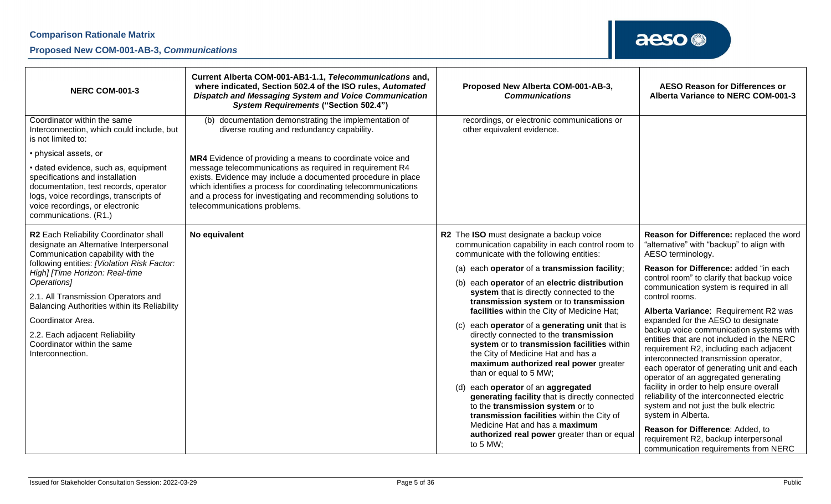### **Proposed New COM-001-AB-3,** *Communications*

| <b>NERC COM-001-3</b>                                                                                                                                                                                                                                                                                                                                                                                                 | Current Alberta COM-001-AB1-1.1, Telecommunications and,<br>where indicated, Section 502.4 of the ISO rules, Automated<br>Dispatch and Messaging System and Voice Communication<br><b>System Requirements ("Section 502.4")</b>                                                                                                                          | Proposed New Alberta COM-001-AB-3,<br><b>Communications</b>                                                                                                                                                                                                                                                                                                                                                                                                                                                                                                                                                                                                                                                                                                                                                                                                                                                   | <b>AESO Reason for Differences or</b><br>Alberta Variance to NERC COM-001-3                                                                                                                                                                                                                                                                                                                                                                                                                                                                                                                                                                                                                                                                                                                                                                                                                 |
|-----------------------------------------------------------------------------------------------------------------------------------------------------------------------------------------------------------------------------------------------------------------------------------------------------------------------------------------------------------------------------------------------------------------------|----------------------------------------------------------------------------------------------------------------------------------------------------------------------------------------------------------------------------------------------------------------------------------------------------------------------------------------------------------|---------------------------------------------------------------------------------------------------------------------------------------------------------------------------------------------------------------------------------------------------------------------------------------------------------------------------------------------------------------------------------------------------------------------------------------------------------------------------------------------------------------------------------------------------------------------------------------------------------------------------------------------------------------------------------------------------------------------------------------------------------------------------------------------------------------------------------------------------------------------------------------------------------------|---------------------------------------------------------------------------------------------------------------------------------------------------------------------------------------------------------------------------------------------------------------------------------------------------------------------------------------------------------------------------------------------------------------------------------------------------------------------------------------------------------------------------------------------------------------------------------------------------------------------------------------------------------------------------------------------------------------------------------------------------------------------------------------------------------------------------------------------------------------------------------------------|
| Coordinator within the same<br>Interconnection, which could include, but<br>is not limited to:                                                                                                                                                                                                                                                                                                                        | documentation demonstrating the implementation of<br>(b)<br>diverse routing and redundancy capability.                                                                                                                                                                                                                                                   | recordings, or electronic communications or<br>other equivalent evidence.                                                                                                                                                                                                                                                                                                                                                                                                                                                                                                                                                                                                                                                                                                                                                                                                                                     |                                                                                                                                                                                                                                                                                                                                                                                                                                                                                                                                                                                                                                                                                                                                                                                                                                                                                             |
| • physical assets, or<br>· dated evidence, such as, equipment<br>specifications and installation<br>documentation, test records, operator<br>logs, voice recordings, transcripts of<br>voice recordings, or electronic<br>communications. (R1.)                                                                                                                                                                       | MR4 Evidence of providing a means to coordinate voice and<br>message telecommunications as required in requirement R4<br>exists. Evidence may include a documented procedure in place<br>which identifies a process for coordinating telecommunications<br>and a process for investigating and recommending solutions to<br>telecommunications problems. |                                                                                                                                                                                                                                                                                                                                                                                                                                                                                                                                                                                                                                                                                                                                                                                                                                                                                                               |                                                                                                                                                                                                                                                                                                                                                                                                                                                                                                                                                                                                                                                                                                                                                                                                                                                                                             |
| R2 Each Reliability Coordinator shall<br>designate an Alternative Interpersonal<br>Communication capability with the<br>following entities: [Violation Risk Factor:<br>High] [Time Horizon: Real-time<br>Operations]<br>2.1. All Transmission Operators and<br>Balancing Authorities within its Reliability<br>Coordinator Area.<br>2.2. Each adjacent Reliability<br>Coordinator within the same<br>Interconnection. | No equivalent                                                                                                                                                                                                                                                                                                                                            | R2 The ISO must designate a backup voice<br>communication capability in each control room to<br>communicate with the following entities:<br>(a) each operator of a transmission facility;<br>(b) each operator of an electric distribution<br>system that is directly connected to the<br>transmission system or to transmission<br>facilities within the City of Medicine Hat;<br>each operator of a generating unit that is<br>(c)<br>directly connected to the transmission<br>system or to transmission facilities within<br>the City of Medicine Hat and has a<br>maximum authorized real power greater<br>than or equal to 5 MW;<br>(d) each operator of an aggregated<br>generating facility that is directly connected<br>to the transmission system or to<br>transmission facilities within the City of<br>Medicine Hat and has a maximum<br>authorized real power greater than or equal<br>to 5 MW; | Reason for Difference: replaced the word<br>"alternative" with "backup" to align with<br>AESO terminology.<br>Reason for Difference: added "in each<br>control room" to clarify that backup voice<br>communication system is required in all<br>control rooms.<br>Alberta Variance: Requirement R2 was<br>expanded for the AESO to designate<br>backup voice communication systems with<br>entities that are not included in the NERC<br>requirement R2, including each adjacent<br>interconnected transmission operator,<br>each operator of generating unit and each<br>operator of an aggregated generating<br>facility in order to help ensure overall<br>reliability of the interconnected electric<br>system and not just the bulk electric<br>system in Alberta.<br>Reason for Difference: Added, to<br>requirement R2, backup interpersonal<br>communication requirements from NERC |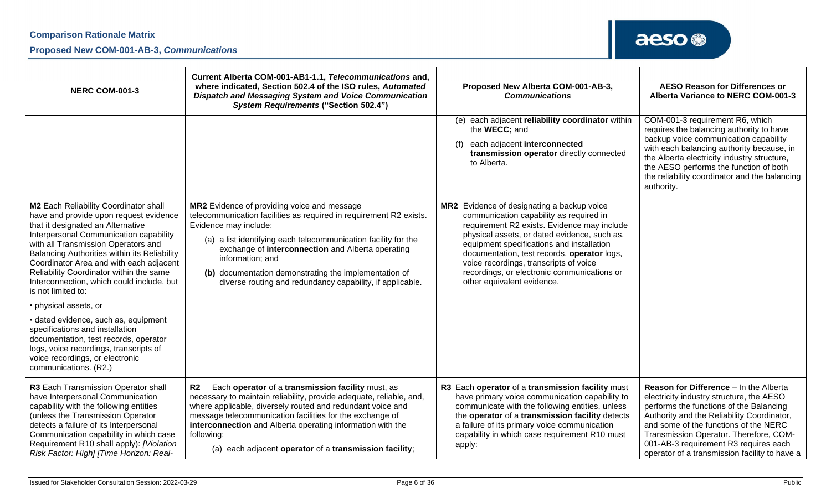### **Proposed New COM-001-AB-3,** *Communications*

| <b>NERC COM-001-3</b>                                                                                                                                                                                                                                                                                                                                                                                                                                                                                                                                                                                                                                                    | Current Alberta COM-001-AB1-1.1, Telecommunications and,<br>where indicated, Section 502.4 of the ISO rules, Automated<br>Dispatch and Messaging System and Voice Communication<br><b>System Requirements ("Section 502.4")</b>                                                                                                                                                                             | Proposed New Alberta COM-001-AB-3,<br><b>Communications</b>                                                                                                                                                                                                                                                                                                                                             | <b>AESO Reason for Differences or</b><br>Alberta Variance to NERC COM-001-3                                                                                                                                                                                                                                                                              |
|--------------------------------------------------------------------------------------------------------------------------------------------------------------------------------------------------------------------------------------------------------------------------------------------------------------------------------------------------------------------------------------------------------------------------------------------------------------------------------------------------------------------------------------------------------------------------------------------------------------------------------------------------------------------------|-------------------------------------------------------------------------------------------------------------------------------------------------------------------------------------------------------------------------------------------------------------------------------------------------------------------------------------------------------------------------------------------------------------|---------------------------------------------------------------------------------------------------------------------------------------------------------------------------------------------------------------------------------------------------------------------------------------------------------------------------------------------------------------------------------------------------------|----------------------------------------------------------------------------------------------------------------------------------------------------------------------------------------------------------------------------------------------------------------------------------------------------------------------------------------------------------|
|                                                                                                                                                                                                                                                                                                                                                                                                                                                                                                                                                                                                                                                                          |                                                                                                                                                                                                                                                                                                                                                                                                             | each adjacent reliability coordinator within<br>(e)<br>the WECC; and<br>each adjacent interconnected<br>(f)<br>transmission operator directly connected<br>to Alberta.                                                                                                                                                                                                                                  | COM-001-3 requirement R6, which<br>requires the balancing authority to have<br>backup voice communication capability<br>with each balancing authority because, in<br>the Alberta electricity industry structure,<br>the AESO performs the function of both<br>the reliability coordinator and the balancing<br>authority.                                |
| <b>M2</b> Each Reliability Coordinator shall<br>have and provide upon request evidence<br>that it designated an Alternative<br>Interpersonal Communication capability<br>with all Transmission Operators and<br>Balancing Authorities within its Reliability<br>Coordinator Area and with each adjacent<br>Reliability Coordinator within the same<br>Interconnection, which could include, but<br>is not limited to:<br>• physical assets, or<br>· dated evidence, such as, equipment<br>specifications and installation<br>documentation, test records, operator<br>logs, voice recordings, transcripts of<br>voice recordings, or electronic<br>communications. (R2.) | MR2 Evidence of providing voice and message<br>telecommunication facilities as required in requirement R2 exists.<br>Evidence may include:<br>(a) a list identifying each telecommunication facility for the<br>exchange of interconnection and Alberta operating<br>information; and<br>(b) documentation demonstrating the implementation of<br>diverse routing and redundancy capability, if applicable. | MR2 Evidence of designating a backup voice<br>communication capability as required in<br>requirement R2 exists. Evidence may include<br>physical assets, or dated evidence, such as,<br>equipment specifications and installation<br>documentation, test records, operator logs,<br>voice recordings, transcripts of voice<br>recordings, or electronic communications or<br>other equivalent evidence. |                                                                                                                                                                                                                                                                                                                                                          |
| R3 Each Transmission Operator shall<br>have Interpersonal Communication<br>capability with the following entities<br>(unless the Transmission Operator<br>detects a failure of its Interpersonal<br>Communication capability in which case<br>Requirement R10 shall apply): [Violation<br>Risk Factor: High] [Time Horizon: Real-                                                                                                                                                                                                                                                                                                                                        | R <sub>2</sub><br>Each operator of a transmission facility must, as<br>necessary to maintain reliability, provide adequate, reliable, and,<br>where applicable, diversely routed and redundant voice and<br>message telecommunication facilities for the exchange of<br>interconnection and Alberta operating information with the<br>following:<br>(a) each adjacent operator of a transmission facility;  | R3 Each operator of a transmission facility must<br>have primary voice communication capability to<br>communicate with the following entities, unless<br>the operator of a transmission facility detects<br>a failure of its primary voice communication<br>capability in which case requirement R10 must<br>apply:                                                                                     | Reason for Difference - In the Alberta<br>electricity industry structure, the AESO<br>performs the functions of the Balancing<br>Authority and the Reliability Coordinator,<br>and some of the functions of the NERC<br>Transmission Operator. Therefore, COM-<br>001-AB-3 requirement R3 requires each<br>operator of a transmission facility to have a |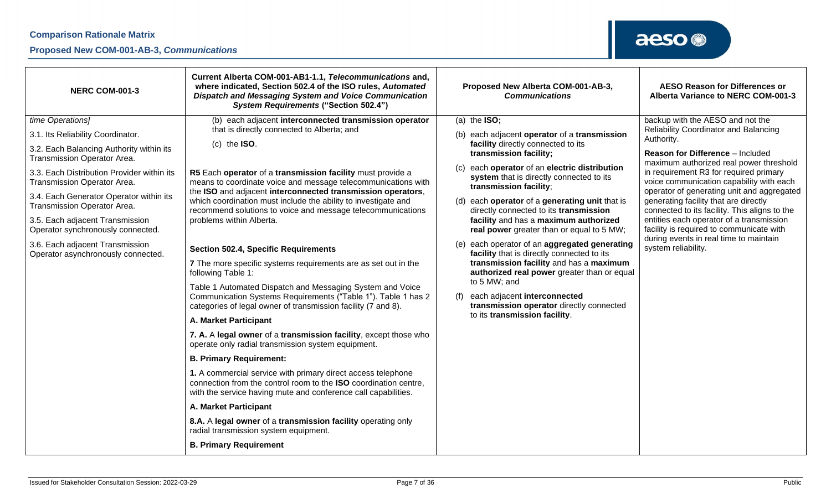### **Proposed New COM-001-AB-3,** *Communications*

| <b>NERC COM-001-3</b>                                                                                                                                                                                                                                                                                                                                                                                                                    | Current Alberta COM-001-AB1-1.1, Telecommunications and,<br>where indicated, Section 502.4 of the ISO rules, Automated<br>Dispatch and Messaging System and Voice Communication<br><b>System Requirements ("Section 502.4")</b>                                                                                                                                                                                                                                                                                                                                                                                                                                                                                                                                                                                                                                                                                                                                                                                                                                                                                                                                                                                                                                                                                                                                                       | Proposed New Alberta COM-001-AB-3,<br><b>Communications</b>                                                                                                                                                                                                                                                                                                                                                                                                                                                                                                                                                                                                                                                                                                             | <b>AESO Reason for Differences or</b><br>Alberta Variance to NERC COM-001-3                                                                                                                                                                                                                                                                                                                                                                                                                                                                                          |
|------------------------------------------------------------------------------------------------------------------------------------------------------------------------------------------------------------------------------------------------------------------------------------------------------------------------------------------------------------------------------------------------------------------------------------------|---------------------------------------------------------------------------------------------------------------------------------------------------------------------------------------------------------------------------------------------------------------------------------------------------------------------------------------------------------------------------------------------------------------------------------------------------------------------------------------------------------------------------------------------------------------------------------------------------------------------------------------------------------------------------------------------------------------------------------------------------------------------------------------------------------------------------------------------------------------------------------------------------------------------------------------------------------------------------------------------------------------------------------------------------------------------------------------------------------------------------------------------------------------------------------------------------------------------------------------------------------------------------------------------------------------------------------------------------------------------------------------|-------------------------------------------------------------------------------------------------------------------------------------------------------------------------------------------------------------------------------------------------------------------------------------------------------------------------------------------------------------------------------------------------------------------------------------------------------------------------------------------------------------------------------------------------------------------------------------------------------------------------------------------------------------------------------------------------------------------------------------------------------------------------|----------------------------------------------------------------------------------------------------------------------------------------------------------------------------------------------------------------------------------------------------------------------------------------------------------------------------------------------------------------------------------------------------------------------------------------------------------------------------------------------------------------------------------------------------------------------|
| time Operations]<br>3.1. Its Reliability Coordinator.<br>3.2. Each Balancing Authority within its<br>Transmission Operator Area.<br>3.3. Each Distribution Provider within its<br>Transmission Operator Area.<br>3.4. Each Generator Operator within its<br>Transmission Operator Area.<br>3.5. Each adjacent Transmission<br>Operator synchronously connected.<br>3.6. Each adjacent Transmission<br>Operator asynchronously connected. | (b) each adjacent interconnected transmission operator<br>that is directly connected to Alberta; and<br>(c) the $ISO.$<br>R5 Each operator of a transmission facility must provide a<br>means to coordinate voice and message telecommunications with<br>the ISO and adjacent interconnected transmission operators,<br>which coordination must include the ability to investigate and<br>recommend solutions to voice and message telecommunications<br>problems within Alberta.<br><b>Section 502.4, Specific Requirements</b><br>7 The more specific systems requirements are as set out in the<br>following Table 1:<br>Table 1 Automated Dispatch and Messaging System and Voice<br>Communication Systems Requirements ("Table 1"). Table 1 has 2<br>categories of legal owner of transmission facility (7 and 8).<br>A. Market Participant<br>7. A. A legal owner of a transmission facility, except those who<br>operate only radial transmission system equipment.<br><b>B. Primary Requirement:</b><br>1. A commercial service with primary direct access telephone<br>connection from the control room to the ISO coordination centre,<br>with the service having mute and conference call capabilities.<br>A. Market Participant<br>8.A. A legal owner of a transmission facility operating only<br>radial transmission system equipment.<br><b>B. Primary Requirement</b> | (a) the $ISO;$<br>(b) each adjacent operator of a transmission<br>facility directly connected to its<br>transmission facility;<br>each operator of an electric distribution<br>(C)<br>system that is directly connected to its<br>transmission facility;<br>(d) each operator of a generating unit that is<br>directly connected to its transmission<br>facility and has a maximum authorized<br>real power greater than or equal to 5 MW;<br>(e) each operator of an aggregated generating<br>facility that is directly connected to its<br>transmission facility and has a maximum<br>authorized real power greater than or equal<br>to 5 MW; and<br>each adjacent interconnected<br>(f)<br>transmission operator directly connected<br>to its transmission facility. | backup with the AESO and not the<br><b>Reliability Coordinator and Balancing</b><br>Authority.<br>Reason for Difference - Included<br>maximum authorized real power threshold<br>in requirement R3 for required primary<br>voice communication capability with each<br>operator of generating unit and aggregated<br>generating facility that are directly<br>connected to its facility. This aligns to the<br>entities each operator of a transmission<br>facility is required to communicate with<br>during events in real time to maintain<br>system reliability. |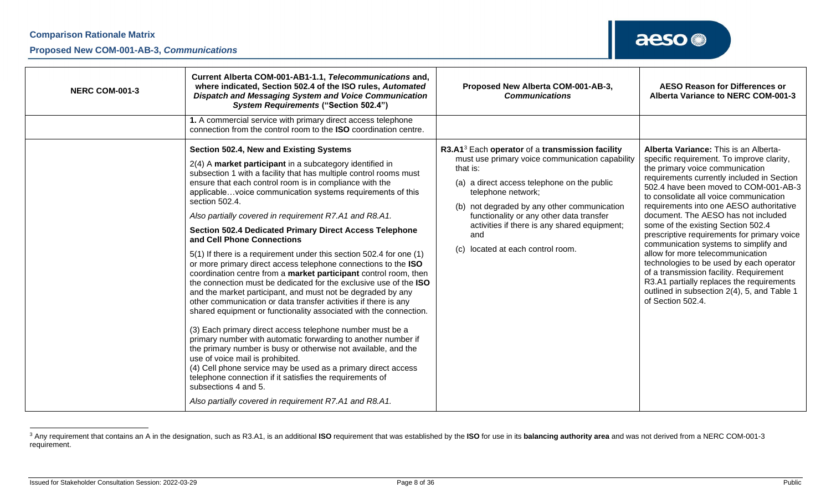| <b>NERC COM-001-3</b> | Current Alberta COM-001-AB1-1.1, Telecommunications and,<br>where indicated, Section 502.4 of the ISO rules, Automated<br><b>Dispatch and Messaging System and Voice Communication</b><br><b>System Requirements ("Section 502.4")</b>                                                                                                                                                                                                                                                                                                                                                                                                                                                                                                                                                                                                                                                                                                                                                                                                                                                                                                                                                                                                                                                                                                                                                                                    | Proposed New Alberta COM-001-AB-3,<br><b>Communications</b>                                                                                                                                                                                                                                                                                                                               | <b>AESO Reason for Differences or</b><br>Alberta Variance to NERC COM-001-3                                                                                                                                                                                                                                                                                                                                                                                                                                                                                                                                                                                                                                         |
|-----------------------|---------------------------------------------------------------------------------------------------------------------------------------------------------------------------------------------------------------------------------------------------------------------------------------------------------------------------------------------------------------------------------------------------------------------------------------------------------------------------------------------------------------------------------------------------------------------------------------------------------------------------------------------------------------------------------------------------------------------------------------------------------------------------------------------------------------------------------------------------------------------------------------------------------------------------------------------------------------------------------------------------------------------------------------------------------------------------------------------------------------------------------------------------------------------------------------------------------------------------------------------------------------------------------------------------------------------------------------------------------------------------------------------------------------------------|-------------------------------------------------------------------------------------------------------------------------------------------------------------------------------------------------------------------------------------------------------------------------------------------------------------------------------------------------------------------------------------------|---------------------------------------------------------------------------------------------------------------------------------------------------------------------------------------------------------------------------------------------------------------------------------------------------------------------------------------------------------------------------------------------------------------------------------------------------------------------------------------------------------------------------------------------------------------------------------------------------------------------------------------------------------------------------------------------------------------------|
|                       | 1. A commercial service with primary direct access telephone<br>connection from the control room to the ISO coordination centre.                                                                                                                                                                                                                                                                                                                                                                                                                                                                                                                                                                                                                                                                                                                                                                                                                                                                                                                                                                                                                                                                                                                                                                                                                                                                                          |                                                                                                                                                                                                                                                                                                                                                                                           |                                                                                                                                                                                                                                                                                                                                                                                                                                                                                                                                                                                                                                                                                                                     |
|                       | Section 502.4, New and Existing Systems<br>2(4) A market participant in a subcategory identified in<br>subsection 1 with a facility that has multiple control rooms must<br>ensure that each control room is in compliance with the<br>applicablevoice communication systems requirements of this<br>section 502.4.<br>Also partially covered in requirement R7.A1 and R8.A1.<br><b>Section 502.4 Dedicated Primary Direct Access Telephone</b><br>and Cell Phone Connections<br>5(1) If there is a requirement under this section 502.4 for one (1)<br>or more primary direct access telephone connections to the ISO<br>coordination centre from a market participant control room, then<br>the connection must be dedicated for the exclusive use of the ISO<br>and the market participant, and must not be degraded by any<br>other communication or data transfer activities if there is any<br>shared equipment or functionality associated with the connection.<br>(3) Each primary direct access telephone number must be a<br>primary number with automatic forwarding to another number if<br>the primary number is busy or otherwise not available, and the<br>use of voice mail is prohibited.<br>(4) Cell phone service may be used as a primary direct access<br>telephone connection if it satisfies the requirements of<br>subsections 4 and 5.<br>Also partially covered in requirement R7.A1 and R8.A1. | R3.A1 <sup>3</sup> Each operator of a transmission facility<br>must use primary voice communication capability<br>that is:<br>(a) a direct access telephone on the public<br>telephone network;<br>(b) not degraded by any other communication<br>functionality or any other data transfer<br>activities if there is any shared equipment;<br>and<br>located at each control room.<br>(C) | Alberta Variance: This is an Alberta-<br>specific requirement. To improve clarity,<br>the primary voice communication<br>requirements currently included in Section<br>502.4 have been moved to COM-001-AB-3<br>to consolidate all voice communication<br>requirements into one AESO authoritative<br>document. The AESO has not included<br>some of the existing Section 502.4<br>prescriptive requirements for primary voice<br>communication systems to simplify and<br>allow for more telecommunication<br>technologies to be used by each operator<br>of a transmission facility. Requirement<br>R3.A1 partially replaces the requirements<br>outlined in subsection 2(4), 5, and Table 1<br>of Section 502.4. |

<sup>&</sup>lt;sup>3</sup> Any requirement that contains an A in the designation, such as R3.A1, is an additional ISO requirement that was established by the ISO for use in its balancing authority area and was not derived from a NERC COM-001-3 requirement.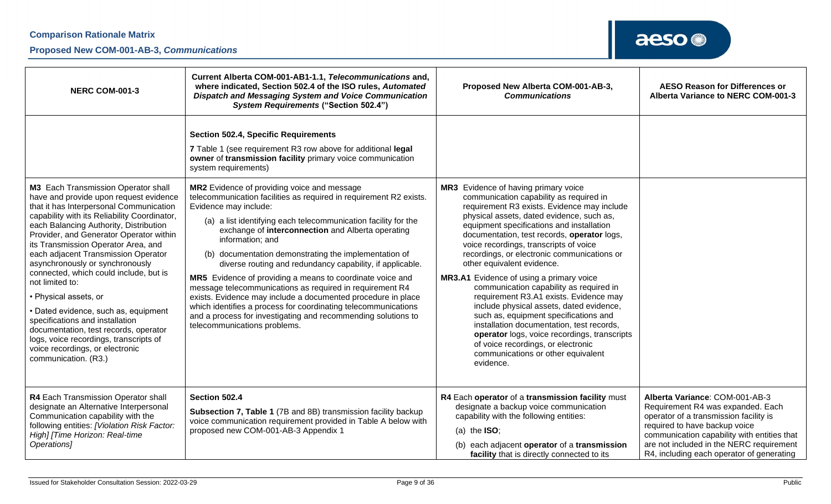### **Proposed New COM-001-AB-3,** *Communications*

| <b>NERC COM-001-3</b>                                                                                                                                                                                                                                                                                                                                                                                                                                                                                                                                                                                                                                  | Current Alberta COM-001-AB1-1.1, Telecommunications and,<br>where indicated, Section 502.4 of the ISO rules, Automated<br>Dispatch and Messaging System and Voice Communication<br><b>System Requirements ("Section 502.4")</b>                                                                                                                                                                                                                                                                                                                                                                                                                                                                                          | Proposed New Alberta COM-001-AB-3,<br><b>Communications</b>                                                                                                                                                                                                                                                                                                                                                                                                                                                                                                                                                                                                                                                                                                        | <b>AESO Reason for Differences or</b><br>Alberta Variance to NERC COM-001-3                                                                                                                                                                                                            |
|--------------------------------------------------------------------------------------------------------------------------------------------------------------------------------------------------------------------------------------------------------------------------------------------------------------------------------------------------------------------------------------------------------------------------------------------------------------------------------------------------------------------------------------------------------------------------------------------------------------------------------------------------------|--------------------------------------------------------------------------------------------------------------------------------------------------------------------------------------------------------------------------------------------------------------------------------------------------------------------------------------------------------------------------------------------------------------------------------------------------------------------------------------------------------------------------------------------------------------------------------------------------------------------------------------------------------------------------------------------------------------------------|--------------------------------------------------------------------------------------------------------------------------------------------------------------------------------------------------------------------------------------------------------------------------------------------------------------------------------------------------------------------------------------------------------------------------------------------------------------------------------------------------------------------------------------------------------------------------------------------------------------------------------------------------------------------------------------------------------------------------------------------------------------------|----------------------------------------------------------------------------------------------------------------------------------------------------------------------------------------------------------------------------------------------------------------------------------------|
| <b>M3</b> Each Transmission Operator shall                                                                                                                                                                                                                                                                                                                                                                                                                                                                                                                                                                                                             | <b>Section 502.4, Specific Requirements</b><br>7 Table 1 (see requirement R3 row above for additional legal<br>owner of transmission facility primary voice communication<br>system requirements)<br><b>MR2</b> Evidence of providing voice and message                                                                                                                                                                                                                                                                                                                                                                                                                                                                  | MR3 Evidence of having primary voice                                                                                                                                                                                                                                                                                                                                                                                                                                                                                                                                                                                                                                                                                                                               |                                                                                                                                                                                                                                                                                        |
| have and provide upon request evidence<br>that it has Interpersonal Communication<br>capability with its Reliability Coordinator,<br>each Balancing Authority, Distribution<br>Provider, and Generator Operator within<br>its Transmission Operator Area, and<br>each adjacent Transmission Operator<br>asynchronously or synchronously<br>connected, which could include, but is<br>not limited to:<br>• Physical assets, or<br>• Dated evidence, such as, equipment<br>specifications and installation<br>documentation, test records, operator<br>logs, voice recordings, transcripts of<br>voice recordings, or electronic<br>communication. (R3.) | telecommunication facilities as required in requirement R2 exists.<br>Evidence may include:<br>(a) a list identifying each telecommunication facility for the<br>exchange of interconnection and Alberta operating<br>information; and<br>(b) documentation demonstrating the implementation of<br>diverse routing and redundancy capability, if applicable.<br>MR5 Evidence of providing a means to coordinate voice and<br>message telecommunications as required in requirement R4<br>exists. Evidence may include a documented procedure in place<br>which identifies a process for coordinating telecommunications<br>and a process for investigating and recommending solutions to<br>telecommunications problems. | communication capability as required in<br>requirement R3 exists. Evidence may include<br>physical assets, dated evidence, such as,<br>equipment specifications and installation<br>documentation, test records, operator logs,<br>voice recordings, transcripts of voice<br>recordings, or electronic communications or<br>other equivalent evidence.<br>MR3.A1 Evidence of using a primary voice<br>communication capability as required in<br>requirement R3.A1 exists. Evidence may<br>include physical assets, dated evidence,<br>such as, equipment specifications and<br>installation documentation, test records,<br>operator logs, voice recordings, transcripts<br>of voice recordings, or electronic<br>communications or other equivalent<br>evidence. |                                                                                                                                                                                                                                                                                        |
| R4 Each Transmission Operator shall<br>designate an Alternative Interpersonal<br>Communication capability with the<br>following entities: [Violation Risk Factor:<br>High] [Time Horizon: Real-time<br>Operations]                                                                                                                                                                                                                                                                                                                                                                                                                                     | Section 502.4<br>Subsection 7, Table 1 (7B and 8B) transmission facility backup<br>voice communication requirement provided in Table A below with<br>proposed new COM-001-AB-3 Appendix 1                                                                                                                                                                                                                                                                                                                                                                                                                                                                                                                                | R4 Each operator of a transmission facility must<br>designate a backup voice communication<br>capability with the following entities:<br>(a) the $ISO$ ;<br>each adjacent operator of a transmission<br>(b)<br>facility that is directly connected to its                                                                                                                                                                                                                                                                                                                                                                                                                                                                                                          | Alberta Variance: COM-001-AB-3<br>Requirement R4 was expanded. Each<br>operator of a transmission facility is<br>required to have backup voice<br>communication capability with entities that<br>are not included in the NERC requirement<br>R4, including each operator of generating |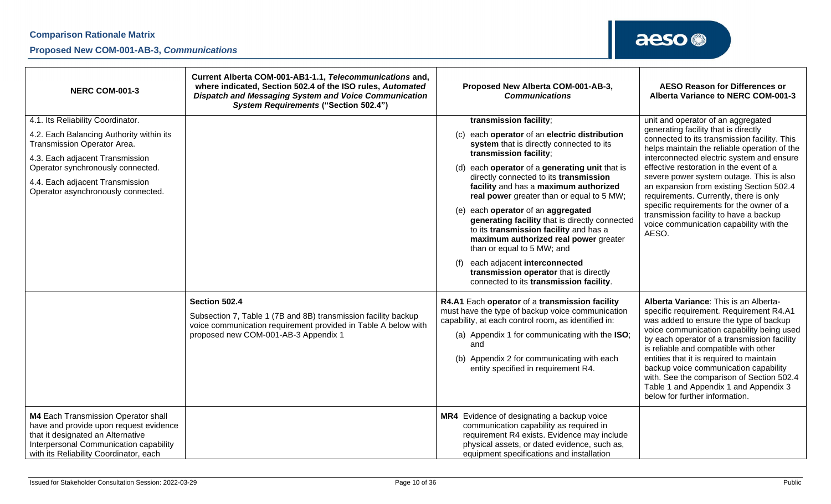| <b>NERC COM-001-3</b>                                                                                                                                                                                  | Current Alberta COM-001-AB1-1.1, Telecommunications and,<br>where indicated, Section 502.4 of the ISO rules, Automated<br><b>Dispatch and Messaging System and Voice Communication</b><br><b>System Requirements ("Section 502.4")</b> | Proposed New Alberta COM-001-AB-3,<br><b>Communications</b>                                                                                                                                                                                                                                                | <b>AESO Reason for Differences or</b><br>Alberta Variance to NERC COM-001-3                                                                                                                                                                                                                                                                                                                                                                                                  |
|--------------------------------------------------------------------------------------------------------------------------------------------------------------------------------------------------------|----------------------------------------------------------------------------------------------------------------------------------------------------------------------------------------------------------------------------------------|------------------------------------------------------------------------------------------------------------------------------------------------------------------------------------------------------------------------------------------------------------------------------------------------------------|------------------------------------------------------------------------------------------------------------------------------------------------------------------------------------------------------------------------------------------------------------------------------------------------------------------------------------------------------------------------------------------------------------------------------------------------------------------------------|
| 4.1. Its Reliability Coordinator.                                                                                                                                                                      |                                                                                                                                                                                                                                        | transmission facility;                                                                                                                                                                                                                                                                                     | unit and operator of an aggregated                                                                                                                                                                                                                                                                                                                                                                                                                                           |
| 4.2. Each Balancing Authority within its<br><b>Transmission Operator Area.</b>                                                                                                                         |                                                                                                                                                                                                                                        | each operator of an electric distribution<br>(c)<br>system that is directly connected to its                                                                                                                                                                                                               | generating facility that is directly<br>connected to its transmission facility. This<br>helps maintain the reliable operation of the                                                                                                                                                                                                                                                                                                                                         |
| 4.3. Each adjacent Transmission<br>Operator synchronously connected.                                                                                                                                   |                                                                                                                                                                                                                                        | transmission facility;<br>each operator of a generating unit that is<br>(d)                                                                                                                                                                                                                                | interconnected electric system and ensure<br>effective restoration in the event of a                                                                                                                                                                                                                                                                                                                                                                                         |
| 4.4. Each adjacent Transmission<br>Operator asynchronously connected.                                                                                                                                  |                                                                                                                                                                                                                                        | directly connected to its transmission<br>facility and has a maximum authorized<br>real power greater than or equal to 5 MW;                                                                                                                                                                               | severe power system outage. This is also<br>an expansion from existing Section 502.4<br>requirements. Currently, there is only                                                                                                                                                                                                                                                                                                                                               |
|                                                                                                                                                                                                        |                                                                                                                                                                                                                                        | each operator of an aggregated<br>(e)<br>generating facility that is directly connected<br>to its transmission facility and has a<br>maximum authorized real power greater<br>than or equal to 5 MW; and                                                                                                   | specific requirements for the owner of a<br>transmission facility to have a backup<br>voice communication capability with the<br>AESO.                                                                                                                                                                                                                                                                                                                                       |
|                                                                                                                                                                                                        |                                                                                                                                                                                                                                        | each adjacent interconnected<br>transmission operator that is directly<br>connected to its transmission facility.                                                                                                                                                                                          |                                                                                                                                                                                                                                                                                                                                                                                                                                                                              |
|                                                                                                                                                                                                        | Section 502.4<br>Subsection 7, Table 1 (7B and 8B) transmission facility backup<br>voice communication requirement provided in Table A below with<br>proposed new COM-001-AB-3 Appendix 1                                              | R4.A1 Each operator of a transmission facility<br>must have the type of backup voice communication<br>capability, at each control room, as identified in:<br>(a) Appendix 1 for communicating with the ISO;<br>and<br>Appendix 2 for communicating with each<br>(b)<br>entity specified in requirement R4. | Alberta Variance: This is an Alberta-<br>specific requirement. Requirement R4.A1<br>was added to ensure the type of backup<br>voice communication capability being used<br>by each operator of a transmission facility<br>is reliable and compatible with other<br>entities that it is required to maintain<br>backup voice communication capability<br>with. See the comparison of Section 502.4<br>Table 1 and Appendix 1 and Appendix 3<br>below for further information. |
| M4 Each Transmission Operator shall<br>have and provide upon request evidence<br>that it designated an Alternative<br>Interpersonal Communication capability<br>with its Reliability Coordinator, each |                                                                                                                                                                                                                                        | MR4 Evidence of designating a backup voice<br>communication capability as required in<br>requirement R4 exists. Evidence may include<br>physical assets, or dated evidence, such as,<br>equipment specifications and installation                                                                          |                                                                                                                                                                                                                                                                                                                                                                                                                                                                              |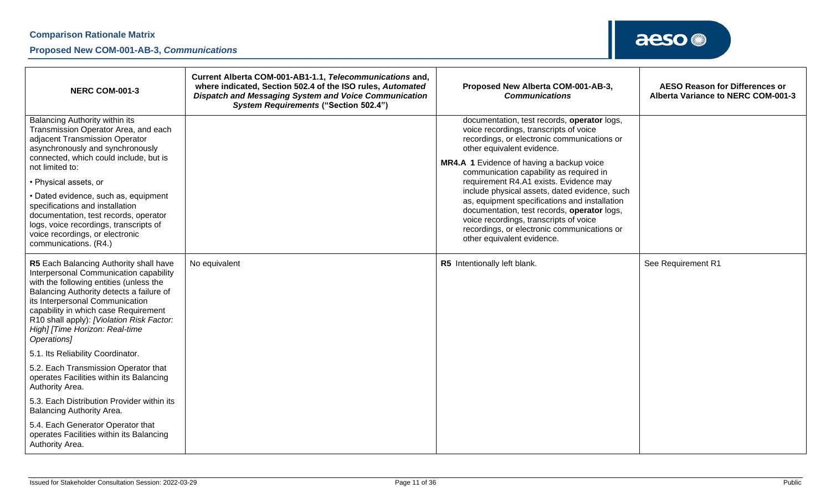| <b>NERC COM-001-3</b>                                                                                                                                                                                                                                                                                                                                                                                                                                        | Current Alberta COM-001-AB1-1.1, Telecommunications and,<br>where indicated, Section 502.4 of the ISO rules, Automated<br><b>Dispatch and Messaging System and Voice Communication</b><br><b>System Requirements ("Section 502.4")</b> | Proposed New Alberta COM-001-AB-3,<br><b>Communications</b>                                                                                                                                                                                                                                                                                                                                                                                                                                                                                                                  | <b>AESO Reason for Differences or</b><br>Alberta Variance to NERC COM-001-3 |
|--------------------------------------------------------------------------------------------------------------------------------------------------------------------------------------------------------------------------------------------------------------------------------------------------------------------------------------------------------------------------------------------------------------------------------------------------------------|----------------------------------------------------------------------------------------------------------------------------------------------------------------------------------------------------------------------------------------|------------------------------------------------------------------------------------------------------------------------------------------------------------------------------------------------------------------------------------------------------------------------------------------------------------------------------------------------------------------------------------------------------------------------------------------------------------------------------------------------------------------------------------------------------------------------------|-----------------------------------------------------------------------------|
| Balancing Authority within its<br>Transmission Operator Area, and each<br>adjacent Transmission Operator<br>asynchronously and synchronously<br>connected, which could include, but is<br>not limited to:<br>· Physical assets, or<br>· Dated evidence, such as, equipment<br>specifications and installation<br>documentation, test records, operator<br>logs, voice recordings, transcripts of<br>voice recordings, or electronic<br>communications. (R4.) |                                                                                                                                                                                                                                        | documentation, test records, operator logs,<br>voice recordings, transcripts of voice<br>recordings, or electronic communications or<br>other equivalent evidence.<br>MR4.A 1 Evidence of having a backup voice<br>communication capability as required in<br>requirement R4.A1 exists. Evidence may<br>include physical assets, dated evidence, such<br>as, equipment specifications and installation<br>documentation, test records, operator logs,<br>voice recordings, transcripts of voice<br>recordings, or electronic communications or<br>other equivalent evidence. |                                                                             |
| R5 Each Balancing Authority shall have<br>Interpersonal Communication capability<br>with the following entities (unless the<br>Balancing Authority detects a failure of<br>its Interpersonal Communication<br>capability in which case Requirement<br>R10 shall apply): [Violation Risk Factor:<br>High] [Time Horizon: Real-time<br>Operations]                                                                                                             | No equivalent                                                                                                                                                                                                                          | R5 Intentionally left blank.                                                                                                                                                                                                                                                                                                                                                                                                                                                                                                                                                 | See Requirement R1                                                          |
| 5.1. Its Reliability Coordinator.                                                                                                                                                                                                                                                                                                                                                                                                                            |                                                                                                                                                                                                                                        |                                                                                                                                                                                                                                                                                                                                                                                                                                                                                                                                                                              |                                                                             |
| 5.2. Each Transmission Operator that<br>operates Facilities within its Balancing<br>Authority Area.                                                                                                                                                                                                                                                                                                                                                          |                                                                                                                                                                                                                                        |                                                                                                                                                                                                                                                                                                                                                                                                                                                                                                                                                                              |                                                                             |
| 5.3. Each Distribution Provider within its<br>Balancing Authority Area.                                                                                                                                                                                                                                                                                                                                                                                      |                                                                                                                                                                                                                                        |                                                                                                                                                                                                                                                                                                                                                                                                                                                                                                                                                                              |                                                                             |
| 5.4. Each Generator Operator that<br>operates Facilities within its Balancing<br>Authority Area.                                                                                                                                                                                                                                                                                                                                                             |                                                                                                                                                                                                                                        |                                                                                                                                                                                                                                                                                                                                                                                                                                                                                                                                                                              |                                                                             |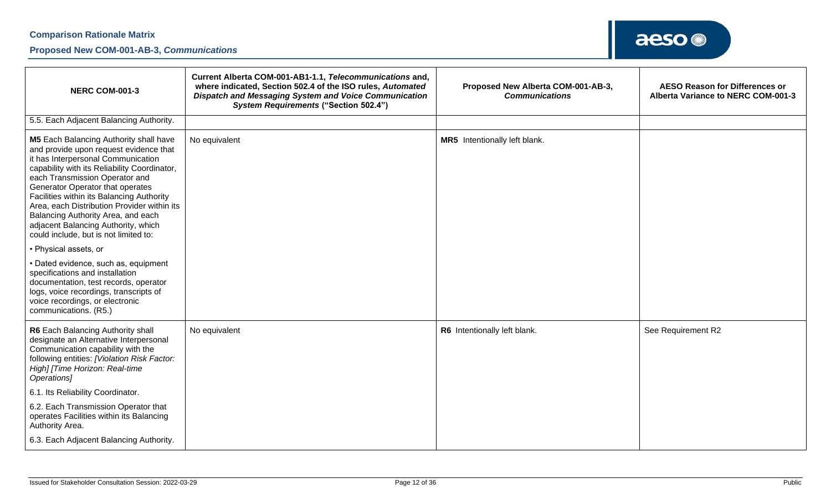### **Proposed New COM-001-AB-3,** *Communications*

| <b>NERC COM-001-3</b>                                                                                                                                                                                                                                                                                                                                                                                                                                          | Current Alberta COM-001-AB1-1.1, Telecommunications and,<br>where indicated, Section 502.4 of the ISO rules, Automated<br>Dispatch and Messaging System and Voice Communication<br><b>System Requirements ("Section 502.4")</b> | Proposed New Alberta COM-001-AB-3,<br><b>Communications</b> | <b>AESO Reason for Differences or</b><br>Alberta Variance to NERC COM-001-3 |
|----------------------------------------------------------------------------------------------------------------------------------------------------------------------------------------------------------------------------------------------------------------------------------------------------------------------------------------------------------------------------------------------------------------------------------------------------------------|---------------------------------------------------------------------------------------------------------------------------------------------------------------------------------------------------------------------------------|-------------------------------------------------------------|-----------------------------------------------------------------------------|
| 5.5. Each Adjacent Balancing Authority.                                                                                                                                                                                                                                                                                                                                                                                                                        |                                                                                                                                                                                                                                 |                                                             |                                                                             |
| M5 Each Balancing Authority shall have<br>and provide upon request evidence that<br>it has Interpersonal Communication<br>capability with its Reliability Coordinator,<br>each Transmission Operator and<br>Generator Operator that operates<br>Facilities within its Balancing Authority<br>Area, each Distribution Provider within its<br>Balancing Authority Area, and each<br>adjacent Balancing Authority, which<br>could include, but is not limited to: | No equivalent                                                                                                                                                                                                                   | MR5 Intentionally left blank.                               |                                                                             |
| • Physical assets, or                                                                                                                                                                                                                                                                                                                                                                                                                                          |                                                                                                                                                                                                                                 |                                                             |                                                                             |
| • Dated evidence, such as, equipment<br>specifications and installation<br>documentation, test records, operator<br>logs, voice recordings, transcripts of<br>voice recordings, or electronic<br>communications. (R5.)                                                                                                                                                                                                                                         |                                                                                                                                                                                                                                 |                                                             |                                                                             |
| R6 Each Balancing Authority shall<br>designate an Alternative Interpersonal<br>Communication capability with the<br>following entities: [Violation Risk Factor:<br>High] [Time Horizon: Real-time<br>Operations]                                                                                                                                                                                                                                               | No equivalent                                                                                                                                                                                                                   | R6 Intentionally left blank.                                | See Requirement R2                                                          |
| 6.1. Its Reliability Coordinator.                                                                                                                                                                                                                                                                                                                                                                                                                              |                                                                                                                                                                                                                                 |                                                             |                                                                             |
| 6.2. Each Transmission Operator that<br>operates Facilities within its Balancing<br>Authority Area.                                                                                                                                                                                                                                                                                                                                                            |                                                                                                                                                                                                                                 |                                                             |                                                                             |
| 6.3. Each Adjacent Balancing Authority.                                                                                                                                                                                                                                                                                                                                                                                                                        |                                                                                                                                                                                                                                 |                                                             |                                                                             |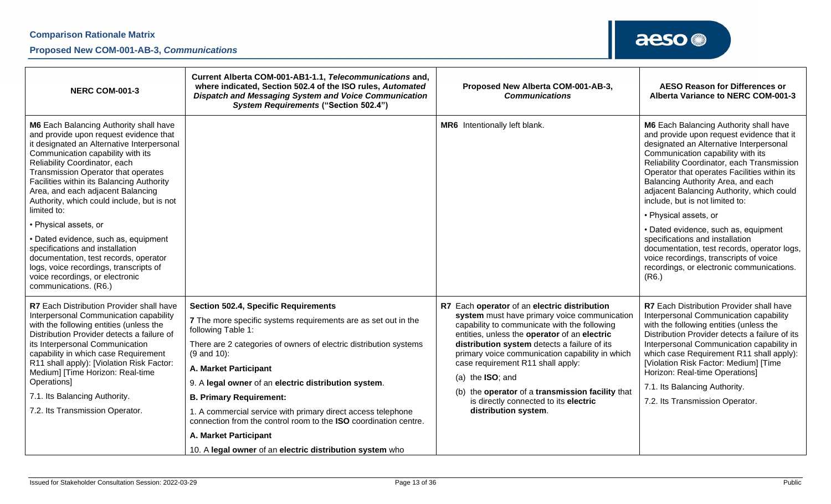| <b>NERC COM-001-3</b>                                                                                                                                                                                                                                                                                                                                                                                                                                                                                                                                                                                                                         | Current Alberta COM-001-AB1-1.1, Telecommunications and,<br>where indicated, Section 502.4 of the ISO rules, Automated<br>Dispatch and Messaging System and Voice Communication<br><b>System Requirements ("Section 502.4")</b>                                                                                                                                                                                                                                                                                                                                                 | Proposed New Alberta COM-001-AB-3,<br><b>Communications</b>                                                                                                                                                                                                                                                                                                                                                                                                                      | <b>AESO Reason for Differences or</b><br>Alberta Variance to NERC COM-001-3                                                                                                                                                                                                                                                                                                                                                                                                                                                                                                                                                                       |
|-----------------------------------------------------------------------------------------------------------------------------------------------------------------------------------------------------------------------------------------------------------------------------------------------------------------------------------------------------------------------------------------------------------------------------------------------------------------------------------------------------------------------------------------------------------------------------------------------------------------------------------------------|---------------------------------------------------------------------------------------------------------------------------------------------------------------------------------------------------------------------------------------------------------------------------------------------------------------------------------------------------------------------------------------------------------------------------------------------------------------------------------------------------------------------------------------------------------------------------------|----------------------------------------------------------------------------------------------------------------------------------------------------------------------------------------------------------------------------------------------------------------------------------------------------------------------------------------------------------------------------------------------------------------------------------------------------------------------------------|---------------------------------------------------------------------------------------------------------------------------------------------------------------------------------------------------------------------------------------------------------------------------------------------------------------------------------------------------------------------------------------------------------------------------------------------------------------------------------------------------------------------------------------------------------------------------------------------------------------------------------------------------|
| M6 Each Balancing Authority shall have<br>and provide upon request evidence that<br>it designated an Alternative Interpersonal<br>Communication capability with its<br>Reliability Coordinator, each<br>Transmission Operator that operates<br>Facilities within its Balancing Authority<br>Area, and each adjacent Balancing<br>Authority, which could include, but is not<br>limited to:<br>• Physical assets, or<br>• Dated evidence, such as, equipment<br>specifications and installation<br>documentation, test records, operator<br>logs, voice recordings, transcripts of<br>voice recordings, or electronic<br>communications. (R6.) |                                                                                                                                                                                                                                                                                                                                                                                                                                                                                                                                                                                 | MR6 Intentionally left blank.                                                                                                                                                                                                                                                                                                                                                                                                                                                    | <b>M6</b> Each Balancing Authority shall have<br>and provide upon request evidence that it<br>designated an Alternative Interpersonal<br>Communication capability with its<br>Reliability Coordinator, each Transmission<br>Operator that operates Facilities within its<br>Balancing Authority Area, and each<br>adjacent Balancing Authority, which could<br>include, but is not limited to:<br>• Physical assets, or<br>• Dated evidence, such as, equipment<br>specifications and installation<br>documentation, test records, operator logs,<br>voice recordings, transcripts of voice<br>recordings, or electronic communications.<br>(R6.) |
| R7 Each Distribution Provider shall have<br>Interpersonal Communication capability<br>with the following entities (unless the<br>Distribution Provider detects a failure of<br>its Interpersonal Communication<br>capability in which case Requirement<br>R11 shall apply): [Violation Risk Factor:<br>Medium] [Time Horizon: Real-time<br>Operations]<br>7.1. Its Balancing Authority.<br>7.2. Its Transmission Operator.                                                                                                                                                                                                                    | <b>Section 502.4, Specific Requirements</b><br>7 The more specific systems requirements are as set out in the<br>following Table 1:<br>There are 2 categories of owners of electric distribution systems<br>$(9$ and $10)$ :<br>A. Market Participant<br>9. A legal owner of an electric distribution system.<br><b>B. Primary Requirement:</b><br>1. A commercial service with primary direct access telephone<br>connection from the control room to the ISO coordination centre.<br><b>A. Market Participant</b><br>10. A legal owner of an electric distribution system who | R7 Each operator of an electric distribution<br>system must have primary voice communication<br>capability to communicate with the following<br>entities, unless the operator of an electric<br>distribution system detects a failure of its<br>primary voice communication capability in which<br>case requirement R11 shall apply:<br>(a) the $ISO$ ; and<br>(b) the operator of a transmission facility that<br>is directly connected to its electric<br>distribution system. | R7 Each Distribution Provider shall have<br>Interpersonal Communication capability<br>with the following entities (unless the<br>Distribution Provider detects a failure of its<br>Interpersonal Communication capability in<br>which case Requirement R11 shall apply):<br>[Violation Risk Factor: Medium] [Time<br>Horizon: Real-time Operations]<br>7.1. Its Balancing Authority.<br>7.2. Its Transmission Operator.                                                                                                                                                                                                                           |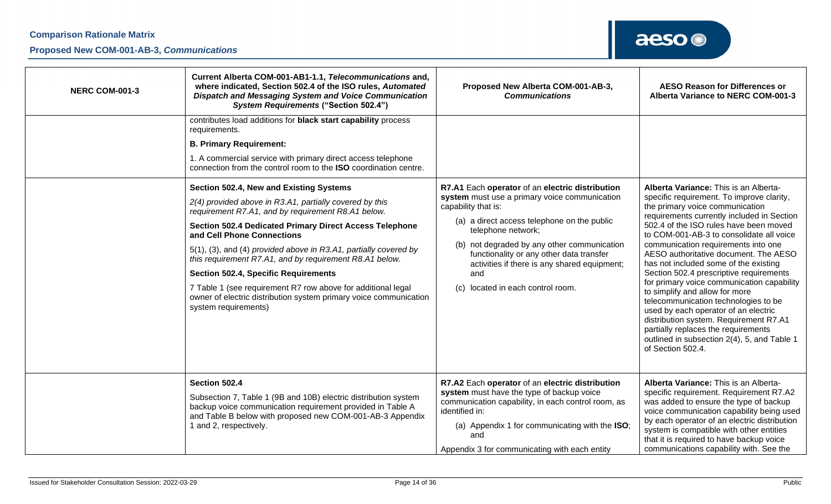| <b>NERC COM-001-3</b> | Current Alberta COM-001-AB1-1.1, Telecommunications and,<br>where indicated, Section 502.4 of the ISO rules, Automated<br>Dispatch and Messaging System and Voice Communication<br><b>System Requirements ("Section 502.4")</b>                                                                                                                                                                                                                                                                                                                                                                                                                                                                                                                                                                                                                             | Proposed New Alberta COM-001-AB-3,<br><b>Communications</b>                                                                                                                                                                                                                                                                                                                            | <b>AESO Reason for Differences or</b><br>Alberta Variance to NERC COM-001-3                                                                                                                                                                                                                                                                                                                                                                                                                                                                                                                                                                                                                                                                        |
|-----------------------|-------------------------------------------------------------------------------------------------------------------------------------------------------------------------------------------------------------------------------------------------------------------------------------------------------------------------------------------------------------------------------------------------------------------------------------------------------------------------------------------------------------------------------------------------------------------------------------------------------------------------------------------------------------------------------------------------------------------------------------------------------------------------------------------------------------------------------------------------------------|----------------------------------------------------------------------------------------------------------------------------------------------------------------------------------------------------------------------------------------------------------------------------------------------------------------------------------------------------------------------------------------|----------------------------------------------------------------------------------------------------------------------------------------------------------------------------------------------------------------------------------------------------------------------------------------------------------------------------------------------------------------------------------------------------------------------------------------------------------------------------------------------------------------------------------------------------------------------------------------------------------------------------------------------------------------------------------------------------------------------------------------------------|
|                       | contributes load additions for black start capability process<br>requirements.<br><b>B. Primary Requirement:</b><br>1. A commercial service with primary direct access telephone<br>connection from the control room to the ISO coordination centre.<br>Section 502.4, New and Existing Systems<br>2(4) provided above in R3.A1, partially covered by this<br>requirement R7.A1, and by requirement R8.A1 below.<br><b>Section 502.4 Dedicated Primary Direct Access Telephone</b><br>and Cell Phone Connections<br>5(1), (3), and (4) provided above in R3.A1, partially covered by<br>this requirement R7.A1, and by requirement R8.A1 below.<br><b>Section 502.4, Specific Requirements</b><br>7 Table 1 (see requirement R7 row above for additional legal<br>owner of electric distribution system primary voice communication<br>system requirements) | R7.A1 Each operator of an electric distribution<br>system must use a primary voice communication<br>capability that is:<br>(a) a direct access telephone on the public<br>telephone network;<br>(b) not degraded by any other communication<br>functionality or any other data transfer<br>activities if there is any shared equipment;<br>and<br>located in each control room.<br>(C) | Alberta Variance: This is an Alberta-<br>specific requirement. To improve clarity,<br>the primary voice communication<br>requirements currently included in Section<br>502.4 of the ISO rules have been moved<br>to COM-001-AB-3 to consolidate all voice<br>communication requirements into one<br>AESO authoritative document. The AESO<br>has not included some of the existing<br>Section 502.4 prescriptive requirements<br>for primary voice communication capability<br>to simplify and allow for more<br>telecommunication technologies to be<br>used by each operator of an electric<br>distribution system. Requirement R7.A1<br>partially replaces the requirements<br>outlined in subsection 2(4), 5, and Table 1<br>of Section 502.4. |
|                       | Section 502.4<br>Subsection 7, Table 1 (9B and 10B) electric distribution system<br>backup voice communication requirement provided in Table A<br>and Table B below with proposed new COM-001-AB-3 Appendix<br>1 and 2, respectively.                                                                                                                                                                                                                                                                                                                                                                                                                                                                                                                                                                                                                       | R7.A2 Each operator of an electric distribution<br>system must have the type of backup voice<br>communication capability, in each control room, as<br>identified in:<br>(a) Appendix 1 for communicating with the ISO;<br>and<br>Appendix 3 for communicating with each entity                                                                                                         | Alberta Variance: This is an Alberta-<br>specific requirement. Requirement R7.A2<br>was added to ensure the type of backup<br>voice communication capability being used<br>by each operator of an electric distribution<br>system is compatible with other entities<br>that it is required to have backup voice<br>communications capability with. See the                                                                                                                                                                                                                                                                                                                                                                                         |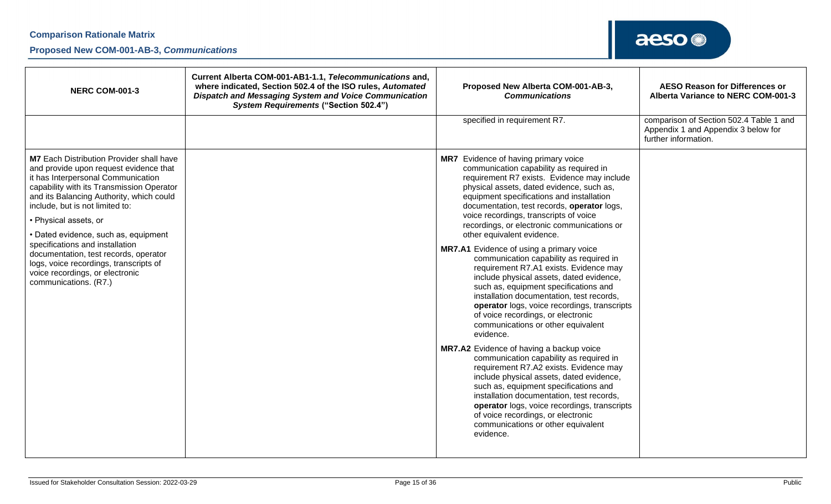### **Proposed New COM-001-AB-3,** *Communications*

| <b>NERC COM-001-3</b>                                                                                                                                                                                                                                                                                                                                                                                                                                                                                          | Current Alberta COM-001-AB1-1.1, Telecommunications and,<br>where indicated, Section 502.4 of the ISO rules, Automated<br><b>Dispatch and Messaging System and Voice Communication</b><br><b>System Requirements ("Section 502.4")</b> | Proposed New Alberta COM-001-AB-3,<br><b>Communications</b>                                                                                                                                                                                                                                                                                                                                                                                                                                                                                                                                                                                                                                                                                                                                                                                                                                                                                                                                                                                                                                                                                                                                                            | <b>AESO Reason for Differences or</b><br>Alberta Variance to NERC COM-001-3                            |
|----------------------------------------------------------------------------------------------------------------------------------------------------------------------------------------------------------------------------------------------------------------------------------------------------------------------------------------------------------------------------------------------------------------------------------------------------------------------------------------------------------------|----------------------------------------------------------------------------------------------------------------------------------------------------------------------------------------------------------------------------------------|------------------------------------------------------------------------------------------------------------------------------------------------------------------------------------------------------------------------------------------------------------------------------------------------------------------------------------------------------------------------------------------------------------------------------------------------------------------------------------------------------------------------------------------------------------------------------------------------------------------------------------------------------------------------------------------------------------------------------------------------------------------------------------------------------------------------------------------------------------------------------------------------------------------------------------------------------------------------------------------------------------------------------------------------------------------------------------------------------------------------------------------------------------------------------------------------------------------------|--------------------------------------------------------------------------------------------------------|
|                                                                                                                                                                                                                                                                                                                                                                                                                                                                                                                |                                                                                                                                                                                                                                        | specified in requirement R7.                                                                                                                                                                                                                                                                                                                                                                                                                                                                                                                                                                                                                                                                                                                                                                                                                                                                                                                                                                                                                                                                                                                                                                                           | comparison of Section 502.4 Table 1 and<br>Appendix 1 and Appendix 3 below for<br>further information. |
| <b>M7</b> Each Distribution Provider shall have<br>and provide upon request evidence that<br>it has Interpersonal Communication<br>capability with its Transmission Operator<br>and its Balancing Authority, which could<br>include, but is not limited to:<br>• Physical assets, or<br>• Dated evidence, such as, equipment<br>specifications and installation<br>documentation, test records, operator<br>logs, voice recordings, transcripts of<br>voice recordings, or electronic<br>communications. (R7.) |                                                                                                                                                                                                                                        | MR7 Evidence of having primary voice<br>communication capability as required in<br>requirement R7 exists. Evidence may include<br>physical assets, dated evidence, such as,<br>equipment specifications and installation<br>documentation, test records, operator logs,<br>voice recordings, transcripts of voice<br>recordings, or electronic communications or<br>other equivalent evidence.<br>MR7.A1 Evidence of using a primary voice<br>communication capability as required in<br>requirement R7.A1 exists. Evidence may<br>include physical assets, dated evidence,<br>such as, equipment specifications and<br>installation documentation, test records,<br>operator logs, voice recordings, transcripts<br>of voice recordings, or electronic<br>communications or other equivalent<br>evidence.<br>MR7.A2 Evidence of having a backup voice<br>communication capability as required in<br>requirement R7.A2 exists. Evidence may<br>include physical assets, dated evidence,<br>such as, equipment specifications and<br>installation documentation, test records,<br>operator logs, voice recordings, transcripts<br>of voice recordings, or electronic<br>communications or other equivalent<br>evidence. |                                                                                                        |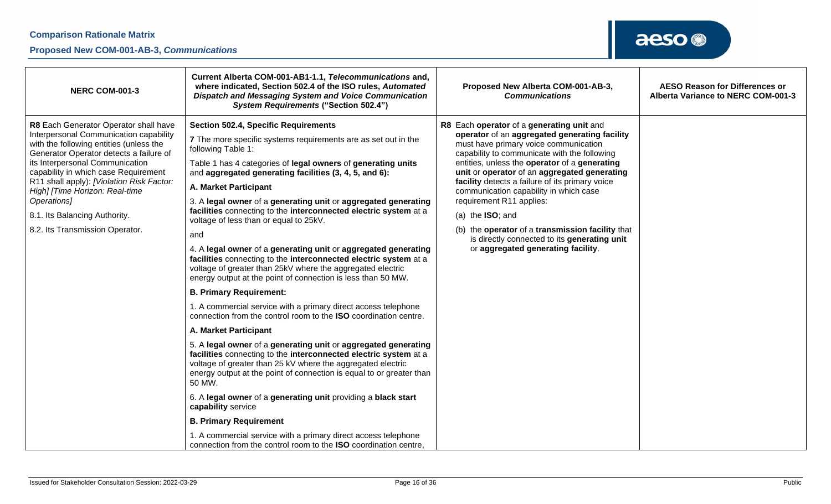### **Proposed New COM-001-AB-3,** *Communications*

| <b>Section 502.4, Specific Requirements</b><br>R8 Each Generator Operator shall have<br>R8 Each operator of a generating unit and<br>Interpersonal Communication capability<br>operator of an aggregated generating facility<br>7 The more specific systems requirements are as set out in the<br>with the following entities (unless the<br>must have primary voice communication<br>following Table 1:<br>capability to communicate with the following<br>Generator Operator detects a failure of                                                                                                                                                                                                                                                                                                                                                                                                                                                                                                                                                                                                                                                                                                                                                                                                                                                                                                                                                                                                                                                                                                                                                                                                                                                                                                                                                         | <b>NERC COM-001-3</b>           | Current Alberta COM-001-AB1-1.1, Telecommunications and,<br>where indicated, Section 502.4 of the ISO rules, Automated<br>Dispatch and Messaging System and Voice Communication<br><b>System Requirements ("Section 502.4")</b> | Proposed New Alberta COM-001-AB-3,<br><b>Communications</b> | <b>AESO Reason for Differences or</b><br>Alberta Variance to NERC COM-001-3 |
|-------------------------------------------------------------------------------------------------------------------------------------------------------------------------------------------------------------------------------------------------------------------------------------------------------------------------------------------------------------------------------------------------------------------------------------------------------------------------------------------------------------------------------------------------------------------------------------------------------------------------------------------------------------------------------------------------------------------------------------------------------------------------------------------------------------------------------------------------------------------------------------------------------------------------------------------------------------------------------------------------------------------------------------------------------------------------------------------------------------------------------------------------------------------------------------------------------------------------------------------------------------------------------------------------------------------------------------------------------------------------------------------------------------------------------------------------------------------------------------------------------------------------------------------------------------------------------------------------------------------------------------------------------------------------------------------------------------------------------------------------------------------------------------------------------------------------------------------------------------|---------------------------------|---------------------------------------------------------------------------------------------------------------------------------------------------------------------------------------------------------------------------------|-------------------------------------------------------------|-----------------------------------------------------------------------------|
| capability in which case Requirement<br>unit or operator of an aggregated generating<br>and aggregated generating facilities (3, 4, 5, and 6):<br>R11 shall apply): [Violation Risk Factor:<br>facility detects a failure of its primary voice<br>A. Market Participant<br>High] [Time Horizon: Real-time<br>communication capability in which case<br>Operations]<br>requirement R11 applies:<br>3. A legal owner of a generating unit or aggregated generating<br>facilities connecting to the interconnected electric system at a<br>8.1. Its Balancing Authority.<br>(a) the $ISO$ ; and<br>voltage of less than or equal to 25kV.<br>8.2. Its Transmission Operator.<br>(b) the operator of a transmission facility that<br>and<br>is directly connected to its generating unit<br>or aggregated generating facility.<br>4. A legal owner of a generating unit or aggregated generating<br>facilities connecting to the interconnected electric system at a<br>voltage of greater than 25kV where the aggregated electric<br>energy output at the point of connection is less than 50 MW.<br><b>B. Primary Requirement:</b><br>1. A commercial service with a primary direct access telephone<br>connection from the control room to the <b>ISO</b> coordination centre.<br>A. Market Participant<br>5. A legal owner of a generating unit or aggregated generating<br>facilities connecting to the interconnected electric system at a<br>voltage of greater than 25 kV where the aggregated electric<br>energy output at the point of connection is equal to or greater than<br>50 MW.<br>6. A legal owner of a generating unit providing a black start<br>capability service<br><b>B. Primary Requirement</b><br>1. A commercial service with a primary direct access telephone<br>connection from the control room to the ISO coordination centre, | its Interpersonal Communication | Table 1 has 4 categories of legal owners of generating units                                                                                                                                                                    | entities, unless the operator of a generating               |                                                                             |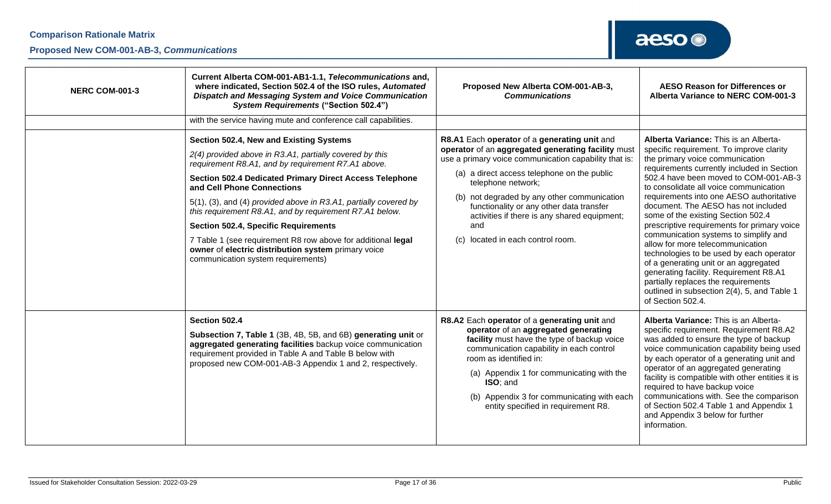| <b>NERC COM-001-3</b> | Current Alberta COM-001-AB1-1.1, Telecommunications and,<br>where indicated, Section 502.4 of the ISO rules, Automated<br>Dispatch and Messaging System and Voice Communication<br><b>System Requirements ("Section 502.4")</b>                                                                                                                                                                                                                                                                                                                                                                                                                                       | Proposed New Alberta COM-001-AB-3,<br><b>Communications</b>                                                                                                                                                                                                                                                                                                                                                                | <b>AESO Reason for Differences or</b><br>Alberta Variance to NERC COM-001-3                                                                                                                                                                                                                                                                                                                                                                                                                                                                                                                                                                                                                                                                          |
|-----------------------|-----------------------------------------------------------------------------------------------------------------------------------------------------------------------------------------------------------------------------------------------------------------------------------------------------------------------------------------------------------------------------------------------------------------------------------------------------------------------------------------------------------------------------------------------------------------------------------------------------------------------------------------------------------------------|----------------------------------------------------------------------------------------------------------------------------------------------------------------------------------------------------------------------------------------------------------------------------------------------------------------------------------------------------------------------------------------------------------------------------|------------------------------------------------------------------------------------------------------------------------------------------------------------------------------------------------------------------------------------------------------------------------------------------------------------------------------------------------------------------------------------------------------------------------------------------------------------------------------------------------------------------------------------------------------------------------------------------------------------------------------------------------------------------------------------------------------------------------------------------------------|
|                       | with the service having mute and conference call capabilities.<br>Section 502.4, New and Existing Systems<br>2(4) provided above in R3.A1, partially covered by this<br>requirement R8.A1, and by requirement R7.A1 above.<br><b>Section 502.4 Dedicated Primary Direct Access Telephone</b><br>and Cell Phone Connections<br>5(1), (3), and (4) provided above in R3.A1, partially covered by<br>this requirement R8.A1, and by requirement R7.A1 below.<br><b>Section 502.4, Specific Requirements</b><br>7 Table 1 (see requirement R8 row above for additional legal<br>owner of electric distribution system primary voice<br>communication system requirements) | R8.A1 Each operator of a generating unit and<br>operator of an aggregated generating facility must<br>use a primary voice communication capability that is:<br>(a) a direct access telephone on the public<br>telephone network;<br>(b) not degraded by any other communication<br>functionality or any other data transfer<br>activities if there is any shared equipment;<br>and<br>located in each control room.<br>(c) | Alberta Variance: This is an Alberta-<br>specific requirement. To improve clarity<br>the primary voice communication<br>requirements currently included in Section<br>502.4 have been moved to COM-001-AB-3<br>to consolidate all voice communication<br>requirements into one AESO authoritative<br>document. The AESO has not included<br>some of the existing Section 502.4<br>prescriptive requirements for primary voice<br>communication systems to simplify and<br>allow for more telecommunication<br>technologies to be used by each operator<br>of a generating unit or an aggregated<br>generating facility. Requirement R8.A1<br>partially replaces the requirements<br>outlined in subsection 2(4), 5, and Table 1<br>of Section 502.4. |
|                       | Section 502.4<br>Subsection 7, Table 1 (3B, 4B, 5B, and 6B) generating unit or<br>aggregated generating facilities backup voice communication<br>requirement provided in Table A and Table B below with<br>proposed new COM-001-AB-3 Appendix 1 and 2, respectively.                                                                                                                                                                                                                                                                                                                                                                                                  | R8.A2 Each operator of a generating unit and<br>operator of an aggregated generating<br>facility must have the type of backup voice<br>communication capability in each control<br>room as identified in:<br>(a) Appendix 1 for communicating with the<br>ISO: and<br>(b) Appendix 3 for communicating with each<br>entity specified in requirement R8.                                                                    | Alberta Variance: This is an Alberta-<br>specific requirement. Requirement R8.A2<br>was added to ensure the type of backup<br>voice communication capability being used<br>by each operator of a generating unit and<br>operator of an aggregated generating<br>facility is compatible with other entities it is<br>required to have backup voice<br>communications with. See the comparison<br>of Section 502.4 Table 1 and Appendix 1<br>and Appendix 3 below for further<br>information.                                                                                                                                                                                                                                                          |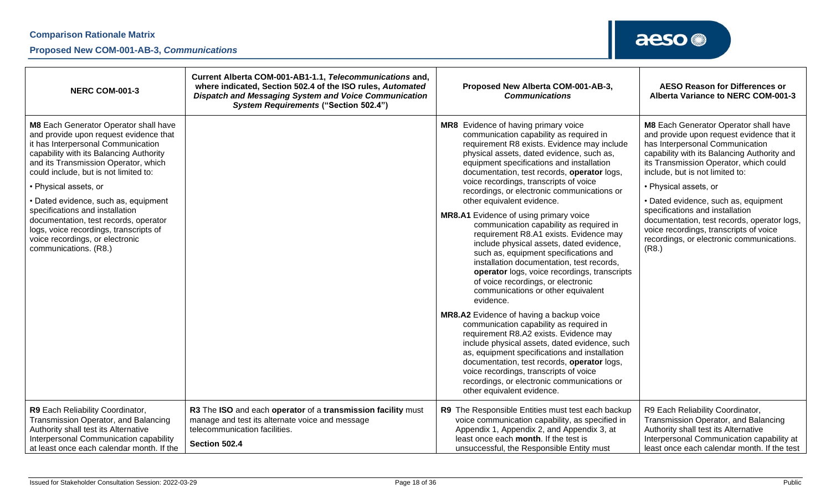| <b>NERC COM-001-3</b>                                                                                                                                                                                                                                                                                                                                                                                                                                                                                | Current Alberta COM-001-AB1-1.1, Telecommunications and,<br>where indicated, Section 502.4 of the ISO rules, Automated<br><b>Dispatch and Messaging System and Voice Communication</b><br><b>System Requirements ("Section 502.4")</b> | Proposed New Alberta COM-001-AB-3,<br><b>Communications</b>                                                                                                                                                                                                                                                                                                                                                                                                                                                                                                                                                                                                                                                                                                                                                                                                                                                                                                                                                                                                                                                                                                                                                              | <b>AESO Reason for Differences or</b><br>Alberta Variance to NERC COM-001-3                                                                                                                                                                                                                                                                                                                                                                                                                          |
|------------------------------------------------------------------------------------------------------------------------------------------------------------------------------------------------------------------------------------------------------------------------------------------------------------------------------------------------------------------------------------------------------------------------------------------------------------------------------------------------------|----------------------------------------------------------------------------------------------------------------------------------------------------------------------------------------------------------------------------------------|--------------------------------------------------------------------------------------------------------------------------------------------------------------------------------------------------------------------------------------------------------------------------------------------------------------------------------------------------------------------------------------------------------------------------------------------------------------------------------------------------------------------------------------------------------------------------------------------------------------------------------------------------------------------------------------------------------------------------------------------------------------------------------------------------------------------------------------------------------------------------------------------------------------------------------------------------------------------------------------------------------------------------------------------------------------------------------------------------------------------------------------------------------------------------------------------------------------------------|------------------------------------------------------------------------------------------------------------------------------------------------------------------------------------------------------------------------------------------------------------------------------------------------------------------------------------------------------------------------------------------------------------------------------------------------------------------------------------------------------|
| M8 Each Generator Operator shall have<br>and provide upon request evidence that<br>it has Interpersonal Communication<br>capability with its Balancing Authority<br>and its Transmission Operator, which<br>could include, but is not limited to:<br>• Physical assets, or<br>· Dated evidence, such as, equipment<br>specifications and installation<br>documentation, test records, operator<br>logs, voice recordings, transcripts of<br>voice recordings, or electronic<br>communications. (R8.) |                                                                                                                                                                                                                                        | MR8 Evidence of having primary voice<br>communication capability as required in<br>requirement R8 exists. Evidence may include<br>physical assets, dated evidence, such as,<br>equipment specifications and installation<br>documentation, test records, operator logs,<br>voice recordings, transcripts of voice<br>recordings, or electronic communications or<br>other equivalent evidence.<br><b>MR8.A1</b> Evidence of using primary voice<br>communication capability as required in<br>requirement R8.A1 exists. Evidence may<br>include physical assets, dated evidence,<br>such as, equipment specifications and<br>installation documentation, test records,<br>operator logs, voice recordings, transcripts<br>of voice recordings, or electronic<br>communications or other equivalent<br>evidence.<br>MR8.A2 Evidence of having a backup voice<br>communication capability as required in<br>requirement R8.A2 exists. Evidence may<br>include physical assets, dated evidence, such<br>as, equipment specifications and installation<br>documentation, test records, operator logs,<br>voice recordings, transcripts of voice<br>recordings, or electronic communications or<br>other equivalent evidence. | M8 Each Generator Operator shall have<br>and provide upon request evidence that it<br>has Interpersonal Communication<br>capability with its Balancing Authority and<br>its Transmission Operator, which could<br>include, but is not limited to:<br>• Physical assets, or<br>• Dated evidence, such as, equipment<br>specifications and installation<br>documentation, test records, operator logs,<br>voice recordings, transcripts of voice<br>recordings, or electronic communications.<br>(R8.) |
| R9 Each Reliability Coordinator,<br>Transmission Operator, and Balancing<br>Authority shall test its Alternative<br>Interpersonal Communication capability<br>at least once each calendar month. If the                                                                                                                                                                                                                                                                                              | R3 The ISO and each operator of a transmission facility must<br>manage and test its alternate voice and message<br>telecommunication facilities.<br>Section 502.4                                                                      | R9 The Responsible Entities must test each backup<br>voice communication capability, as specified in<br>Appendix 1, Appendix 2, and Appendix 3, at<br>least once each month. If the test is<br>unsuccessful, the Responsible Entity must                                                                                                                                                                                                                                                                                                                                                                                                                                                                                                                                                                                                                                                                                                                                                                                                                                                                                                                                                                                 | R9 Each Reliability Coordinator,<br>Transmission Operator, and Balancing<br>Authority shall test its Alternative<br>Interpersonal Communication capability at<br>least once each calendar month. If the test                                                                                                                                                                                                                                                                                         |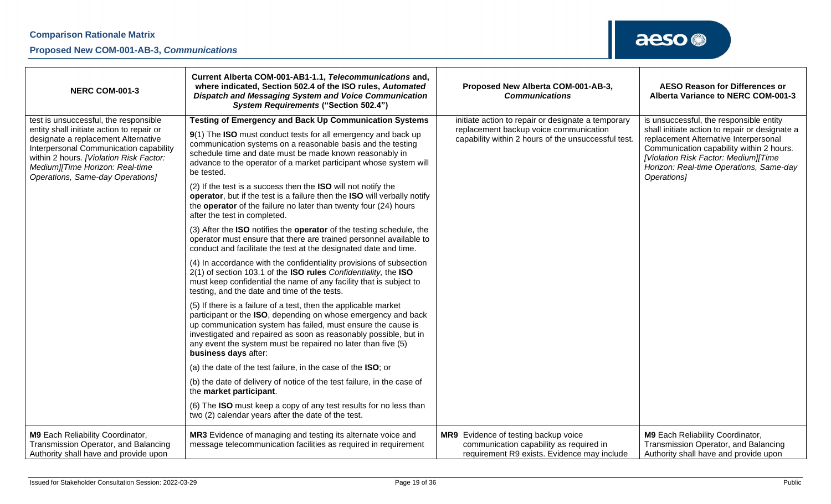| <b>NERC COM-001-3</b>                                                                                                                                                                                                                        | Current Alberta COM-001-AB1-1.1, Telecommunications and,<br>where indicated, Section 502.4 of the ISO rules, Automated<br><b>Dispatch and Messaging System and Voice Communication</b><br><b>System Requirements ("Section 502.4")</b>                                                                                                                       | Proposed New Alberta COM-001-AB-3,<br><b>Communications</b>                                                                    | <b>AESO Reason for Differences or</b><br>Alberta Variance to NERC COM-001-3                                                                                                                                                           |
|----------------------------------------------------------------------------------------------------------------------------------------------------------------------------------------------------------------------------------------------|--------------------------------------------------------------------------------------------------------------------------------------------------------------------------------------------------------------------------------------------------------------------------------------------------------------------------------------------------------------|--------------------------------------------------------------------------------------------------------------------------------|---------------------------------------------------------------------------------------------------------------------------------------------------------------------------------------------------------------------------------------|
| test is unsuccessful, the responsible                                                                                                                                                                                                        | <b>Testing of Emergency and Back Up Communication Systems</b>                                                                                                                                                                                                                                                                                                | initiate action to repair or designate a temporary                                                                             | is unsuccessful, the responsible entity                                                                                                                                                                                               |
| entity shall initiate action to repair or<br>designate a replacement Alternative<br>Interpersonal Communication capability<br>within 2 hours. [Violation Risk Factor:<br>Medium][Time Horizon: Real-time<br>Operations, Same-day Operations] | 9(1) The ISO must conduct tests for all emergency and back up<br>communication systems on a reasonable basis and the testing<br>schedule time and date must be made known reasonably in<br>advance to the operator of a market participant whose system will<br>be tested.                                                                                   | replacement backup voice communication<br>capability within 2 hours of the unsuccessful test.                                  | shall initiate action to repair or designate a<br>replacement Alternative Interpersonal<br>Communication capability within 2 hours.<br>[Violation Risk Factor: Medium][Time<br>Horizon: Real-time Operations, Same-day<br>Operations] |
|                                                                                                                                                                                                                                              | (2) If the test is a success then the <b>ISO</b> will not notify the<br>operator, but if the test is a failure then the ISO will verbally notify<br>the operator of the failure no later than twenty four (24) hours<br>after the test in completed.                                                                                                         |                                                                                                                                |                                                                                                                                                                                                                                       |
|                                                                                                                                                                                                                                              | (3) After the <b>ISO</b> notifies the <b>operator</b> of the testing schedule, the<br>operator must ensure that there are trained personnel available to<br>conduct and facilitate the test at the designated date and time.                                                                                                                                 |                                                                                                                                |                                                                                                                                                                                                                                       |
|                                                                                                                                                                                                                                              | (4) In accordance with the confidentiality provisions of subsection<br>2(1) of section 103.1 of the ISO rules Confidentiality, the ISO<br>must keep confidential the name of any facility that is subject to<br>testing, and the date and time of the tests.                                                                                                 |                                                                                                                                |                                                                                                                                                                                                                                       |
|                                                                                                                                                                                                                                              | (5) If there is a failure of a test, then the applicable market<br>participant or the ISO, depending on whose emergency and back<br>up communication system has failed, must ensure the cause is<br>investigated and repaired as soon as reasonably possible, but in<br>any event the system must be repaired no later than five (5)<br>business days after: |                                                                                                                                |                                                                                                                                                                                                                                       |
|                                                                                                                                                                                                                                              | (a) the date of the test failure, in the case of the ISO; or                                                                                                                                                                                                                                                                                                 |                                                                                                                                |                                                                                                                                                                                                                                       |
|                                                                                                                                                                                                                                              | (b) the date of delivery of notice of the test failure, in the case of<br>the market participant.                                                                                                                                                                                                                                                            |                                                                                                                                |                                                                                                                                                                                                                                       |
|                                                                                                                                                                                                                                              | (6) The ISO must keep a copy of any test results for no less than<br>two (2) calendar years after the date of the test.                                                                                                                                                                                                                                      |                                                                                                                                |                                                                                                                                                                                                                                       |
| M9 Each Reliability Coordinator,<br>Transmission Operator, and Balancing<br>Authority shall have and provide upon                                                                                                                            | MR3 Evidence of managing and testing its alternate voice and<br>message telecommunication facilities as required in requirement                                                                                                                                                                                                                              | MR9 Evidence of testing backup voice<br>communication capability as required in<br>requirement R9 exists. Evidence may include | M9 Each Reliability Coordinator,<br>Transmission Operator, and Balancing<br>Authority shall have and provide upon                                                                                                                     |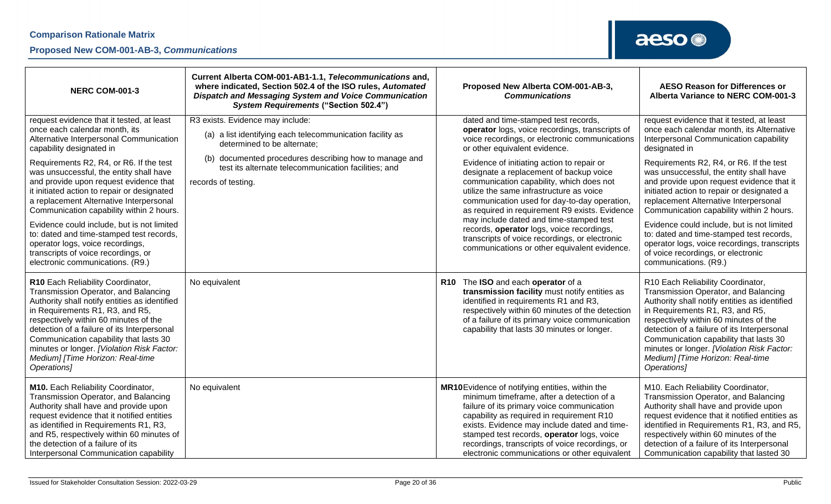### **Proposed New COM-001-AB-3,** *Communications*

| <b>NERC COM-001-3</b>                                                                                                                                                                                                                                                                                                                                                                                                                                                                                                                                                                                                            | Current Alberta COM-001-AB1-1.1, Telecommunications and,<br>where indicated, Section 502.4 of the ISO rules, Automated<br>Dispatch and Messaging System and Voice Communication<br><b>System Requirements ("Section 502.4")</b>                                          | Proposed New Alberta COM-001-AB-3,<br><b>AESO Reason for Differences or</b><br><b>Communications</b><br>Alberta Variance to NERC COM-001-3                                                                                                                                                                                                                                                                                                                                                                                                                                                                                                                                                                                                                                                                                                                                                                                                                                                                                                                                                                                                                                                                                                                                                  |
|----------------------------------------------------------------------------------------------------------------------------------------------------------------------------------------------------------------------------------------------------------------------------------------------------------------------------------------------------------------------------------------------------------------------------------------------------------------------------------------------------------------------------------------------------------------------------------------------------------------------------------|--------------------------------------------------------------------------------------------------------------------------------------------------------------------------------------------------------------------------------------------------------------------------|---------------------------------------------------------------------------------------------------------------------------------------------------------------------------------------------------------------------------------------------------------------------------------------------------------------------------------------------------------------------------------------------------------------------------------------------------------------------------------------------------------------------------------------------------------------------------------------------------------------------------------------------------------------------------------------------------------------------------------------------------------------------------------------------------------------------------------------------------------------------------------------------------------------------------------------------------------------------------------------------------------------------------------------------------------------------------------------------------------------------------------------------------------------------------------------------------------------------------------------------------------------------------------------------|
| request evidence that it tested, at least<br>once each calendar month, its<br>Alternative Interpersonal Communication<br>capability designated in<br>Requirements R2, R4, or R6. If the test<br>was unsuccessful, the entity shall have<br>and provide upon request evidence that<br>it initiated action to repair or designated<br>a replacement Alternative Interpersonal<br>Communication capability within 2 hours.<br>Evidence could include, but is not limited<br>to: dated and time-stamped test records,<br>operator logs, voice recordings,<br>transcripts of voice recordings, or<br>electronic communications. (R9.) | R3 exists. Evidence may include:<br>(a) a list identifying each telecommunication facility as<br>determined to be alternate;<br>documented procedures describing how to manage and<br>(b)<br>test its alternate telecommunication facilities; and<br>records of testing. | dated and time-stamped test records,<br>request evidence that it tested, at least<br>once each calendar month, its Alternative<br>operator logs, voice recordings, transcripts of<br>voice recordings, or electronic communications<br>Interpersonal Communication capability<br>or other equivalent evidence.<br>designated in<br>Requirements R2, R4, or R6. If the test<br>Evidence of initiating action to repair or<br>designate a replacement of backup voice<br>was unsuccessful, the entity shall have<br>communication capability, which does not<br>and provide upon request evidence that it<br>utilize the same infrastructure as voice<br>initiated action to repair or designated a<br>replacement Alternative Interpersonal<br>communication used for day-to-day operation,<br>Communication capability within 2 hours.<br>as required in requirement R9 exists. Evidence<br>may include dated and time-stamped test<br>Evidence could include, but is not limited<br>records, operator logs, voice recordings,<br>to: dated and time-stamped test records,<br>transcripts of voice recordings, or electronic<br>operator logs, voice recordings, transcripts<br>communications or other equivalent evidence.<br>of voice recordings, or electronic<br>communications. (R9.) |
| R10 Each Reliability Coordinator,<br>Transmission Operator, and Balancing<br>Authority shall notify entities as identified<br>in Requirements R1, R3, and R5,<br>respectively within 60 minutes of the<br>detection of a failure of its Interpersonal<br>Communication capability that lasts 30<br>minutes or longer. [Violation Risk Factor:<br>Medium] [Time Horizon: Real-time<br>Operations]                                                                                                                                                                                                                                 | No equivalent                                                                                                                                                                                                                                                            | R10 The ISO and each operator of a<br>R10 Each Reliability Coordinator,<br>transmission facility must notify entities as<br>Transmission Operator, and Balancing<br>Authority shall notify entities as identified<br>identified in requirements R1 and R3,<br>respectively within 60 minutes of the detection<br>in Requirements R1, R3, and R5,<br>of a failure of its primary voice communication<br>respectively within 60 minutes of the<br>capability that lasts 30 minutes or longer.<br>detection of a failure of its Interpersonal<br>Communication capability that lasts 30<br>minutes or longer. [Violation Risk Factor:<br>Medium] [Time Horizon: Real-time<br>Operations]                                                                                                                                                                                                                                                                                                                                                                                                                                                                                                                                                                                                       |
| M10. Each Reliability Coordinator,<br>Transmission Operator, and Balancing<br>Authority shall have and provide upon<br>request evidence that it notified entities<br>as identified in Requirements R1, R3,<br>and R5, respectively within 60 minutes of<br>the detection of a failure of its<br>Interpersonal Communication capability                                                                                                                                                                                                                                                                                           | No equivalent                                                                                                                                                                                                                                                            | MR10Evidence of notifying entities, within the<br>M10. Each Reliability Coordinator,<br>minimum timeframe, after a detection of a<br>Transmission Operator, and Balancing<br>Authority shall have and provide upon<br>failure of its primary voice communication<br>capability as required in requirement R10<br>request evidence that it notified entities as<br>exists. Evidence may include dated and time-<br>identified in Requirements R1, R3, and R5,<br>stamped test records, operator logs, voice<br>respectively within 60 minutes of the<br>recordings, transcripts of voice recordings, or<br>detection of a failure of its Interpersonal<br>electronic communications or other equivalent<br>Communication capability that lasted 30                                                                                                                                                                                                                                                                                                                                                                                                                                                                                                                                           |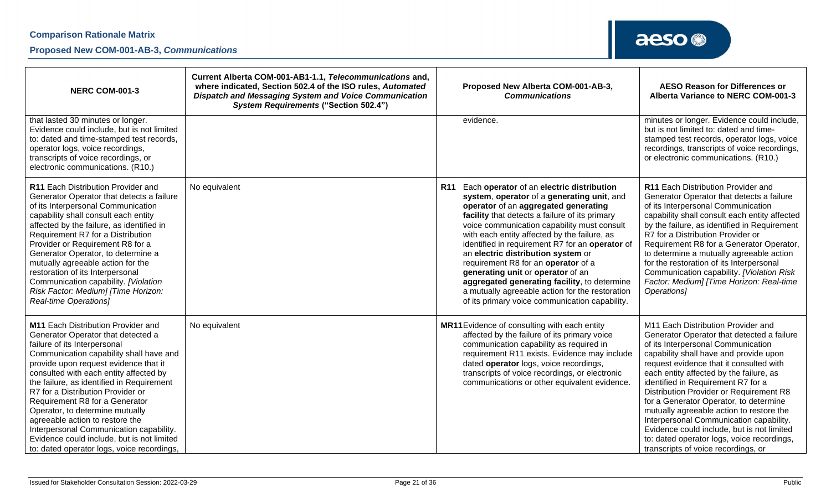| <b>NERC COM-001-3</b>                                                                                                                                                                                                                                                                                                                                                                                                                                                                                                                                                          | Current Alberta COM-001-AB1-1.1, Telecommunications and,<br>where indicated, Section 502.4 of the ISO rules, Automated<br><b>Dispatch and Messaging System and Voice Communication</b><br><b>System Requirements ("Section 502.4")</b> |            | Proposed New Alberta COM-001-AB-3,<br><b>Communications</b>                                                                                                                                                                                                                                                                                                                                                                                                                                                                                                                                                | <b>AESO Reason for Differences or</b><br>Alberta Variance to NERC COM-001-3                                                                                                                                                                                                                                                                                                                                                                                                                                                                                                                                 |
|--------------------------------------------------------------------------------------------------------------------------------------------------------------------------------------------------------------------------------------------------------------------------------------------------------------------------------------------------------------------------------------------------------------------------------------------------------------------------------------------------------------------------------------------------------------------------------|----------------------------------------------------------------------------------------------------------------------------------------------------------------------------------------------------------------------------------------|------------|------------------------------------------------------------------------------------------------------------------------------------------------------------------------------------------------------------------------------------------------------------------------------------------------------------------------------------------------------------------------------------------------------------------------------------------------------------------------------------------------------------------------------------------------------------------------------------------------------------|-------------------------------------------------------------------------------------------------------------------------------------------------------------------------------------------------------------------------------------------------------------------------------------------------------------------------------------------------------------------------------------------------------------------------------------------------------------------------------------------------------------------------------------------------------------------------------------------------------------|
| that lasted 30 minutes or longer.<br>Evidence could include, but is not limited<br>to: dated and time-stamped test records,<br>operator logs, voice recordings,<br>transcripts of voice recordings, or<br>electronic communications. (R10.)                                                                                                                                                                                                                                                                                                                                    |                                                                                                                                                                                                                                        |            | evidence.                                                                                                                                                                                                                                                                                                                                                                                                                                                                                                                                                                                                  | minutes or longer. Evidence could include,<br>but is not limited to: dated and time-<br>stamped test records, operator logs, voice<br>recordings, transcripts of voice recordings,<br>or electronic communications. (R10.)                                                                                                                                                                                                                                                                                                                                                                                  |
| R11 Each Distribution Provider and<br>Generator Operator that detects a failure<br>of its Interpersonal Communication<br>capability shall consult each entity<br>affected by the failure, as identified in<br>Requirement R7 for a Distribution<br>Provider or Requirement R8 for a<br>Generator Operator, to determine a<br>mutually agreeable action for the<br>restoration of its Interpersonal<br>Communication capability. [Violation<br>Risk Factor: Medium] [Time Horizon:<br>Real-time Operations]                                                                     | No equivalent                                                                                                                                                                                                                          | <b>R11</b> | Each operator of an electric distribution<br>system, operator of a generating unit, and<br>operator of an aggregated generating<br>facility that detects a failure of its primary<br>voice communication capability must consult<br>with each entity affected by the failure, as<br>identified in requirement R7 for an operator of<br>an electric distribution system or<br>requirement R8 for an operator of a<br>generating unit or operator of an<br>aggregated generating facility, to determine<br>a mutually agreeable action for the restoration<br>of its primary voice communication capability. | R11 Each Distribution Provider and<br>Generator Operator that detects a failure<br>of its Interpersonal Communication<br>capability shall consult each entity affected<br>by the failure, as identified in Requirement<br>R7 for a Distribution Provider or<br>Requirement R8 for a Generator Operator,<br>to determine a mutually agreeable action<br>for the restoration of its Interpersonal<br>Communication capability. [Violation Risk<br>Factor: Medium] [Time Horizon: Real-time<br>Operations]                                                                                                     |
| <b>M11</b> Each Distribution Provider and<br>Generator Operator that detected a<br>failure of its Interpersonal<br>Communication capability shall have and<br>provide upon request evidence that it<br>consulted with each entity affected by<br>the failure, as identified in Requirement<br>R7 for a Distribution Provider or<br>Requirement R8 for a Generator<br>Operator, to determine mutually<br>agreeable action to restore the<br>Interpersonal Communication capability.<br>Evidence could include, but is not limited<br>to: dated operator logs, voice recordings, | No equivalent                                                                                                                                                                                                                          |            | MR11 Evidence of consulting with each entity<br>affected by the failure of its primary voice<br>communication capability as required in<br>requirement R11 exists. Evidence may include<br>dated operator logs, voice recordings,<br>transcripts of voice recordings, or electronic<br>communications or other equivalent evidence.                                                                                                                                                                                                                                                                        | M11 Each Distribution Provider and<br>Generator Operator that detected a failure<br>of its Interpersonal Communication<br>capability shall have and provide upon<br>request evidence that it consulted with<br>each entity affected by the failure, as<br>identified in Requirement R7 for a<br>Distribution Provider or Requirement R8<br>for a Generator Operator, to determine<br>mutually agreeable action to restore the<br>Interpersonal Communication capability.<br>Evidence could include, but is not limited<br>to: dated operator logs, voice recordings,<br>transcripts of voice recordings, or |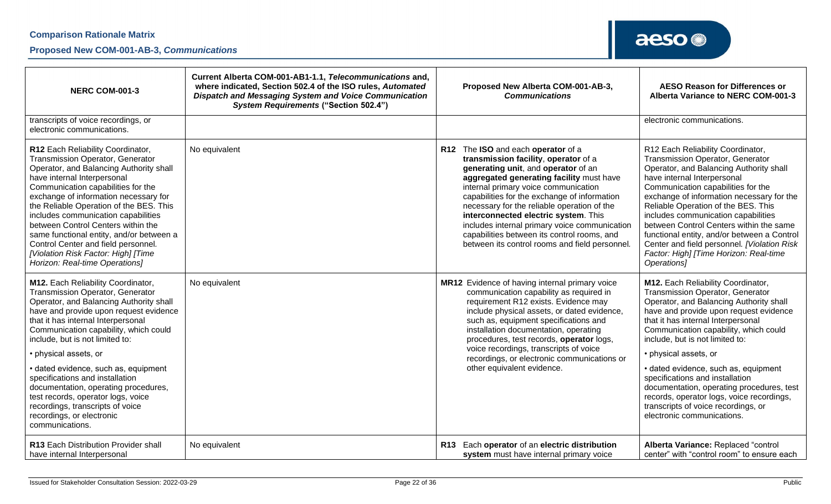### **Proposed New COM-001-AB-3,** *Communications*

| <b>NERC COM-001-3</b>                                                                                                                                                                                                                                                                                                                                                                                                                                                                                                                                      | Current Alberta COM-001-AB1-1.1, Telecommunications and,<br>where indicated, Section 502.4 of the ISO rules, Automated<br><b>Dispatch and Messaging System and Voice Communication</b><br><b>System Requirements ("Section 502.4")</b> | Proposed New Alberta COM-001-AB-3,<br><b>Communications</b>                                                                                                                                                                                                                                                                                                                                                                                                                                    | <b>AESO Reason for Differences or</b><br>Alberta Variance to NERC COM-001-3                                                                                                                                                                                                                                                                                                                                                                                                                                                                      |
|------------------------------------------------------------------------------------------------------------------------------------------------------------------------------------------------------------------------------------------------------------------------------------------------------------------------------------------------------------------------------------------------------------------------------------------------------------------------------------------------------------------------------------------------------------|----------------------------------------------------------------------------------------------------------------------------------------------------------------------------------------------------------------------------------------|------------------------------------------------------------------------------------------------------------------------------------------------------------------------------------------------------------------------------------------------------------------------------------------------------------------------------------------------------------------------------------------------------------------------------------------------------------------------------------------------|--------------------------------------------------------------------------------------------------------------------------------------------------------------------------------------------------------------------------------------------------------------------------------------------------------------------------------------------------------------------------------------------------------------------------------------------------------------------------------------------------------------------------------------------------|
| transcripts of voice recordings, or<br>electronic communications.                                                                                                                                                                                                                                                                                                                                                                                                                                                                                          |                                                                                                                                                                                                                                        |                                                                                                                                                                                                                                                                                                                                                                                                                                                                                                | electronic communications.                                                                                                                                                                                                                                                                                                                                                                                                                                                                                                                       |
| R12 Each Reliability Coordinator,<br><b>Transmission Operator, Generator</b><br>Operator, and Balancing Authority shall<br>have internal Interpersonal<br>Communication capabilities for the<br>exchange of information necessary for<br>the Reliable Operation of the BES. This<br>includes communication capabilities<br>between Control Centers within the<br>same functional entity, and/or between a<br>Control Center and field personnel.<br>[Violation Risk Factor: High] [Time<br>Horizon: Real-time Operations]                                  | No equivalent                                                                                                                                                                                                                          | R12 The ISO and each operator of a<br>transmission facility, operator of a<br>generating unit, and operator of an<br>aggregated generating facility must have<br>internal primary voice communication<br>capabilities for the exchange of information<br>necessary for the reliable operation of the<br>interconnected electric system. This<br>includes internal primary voice communication<br>capabilities between its control rooms, and<br>between its control rooms and field personnel. | R12 Each Reliability Coordinator,<br>Transmission Operator, Generator<br>Operator, and Balancing Authority shall<br>have internal Interpersonal<br>Communication capabilities for the<br>exchange of information necessary for the<br>Reliable Operation of the BES. This<br>includes communication capabilities<br>between Control Centers within the same<br>functional entity, and/or between a Control<br>Center and field personnel. [Violation Risk<br>Factor: High] [Time Horizon: Real-time<br>Operations]                               |
| M12. Each Reliability Coordinator,<br><b>Transmission Operator, Generator</b><br>Operator, and Balancing Authority shall<br>have and provide upon request evidence<br>that it has internal Interpersonal<br>Communication capability, which could<br>include, but is not limited to:<br>• physical assets, or<br>· dated evidence, such as, equipment<br>specifications and installation<br>documentation, operating procedures,<br>test records, operator logs, voice<br>recordings, transcripts of voice<br>recordings, or electronic<br>communications. | No equivalent                                                                                                                                                                                                                          | MR12 Evidence of having internal primary voice<br>communication capability as required in<br>requirement R12 exists. Evidence may<br>include physical assets, or dated evidence,<br>such as, equipment specifications and<br>installation documentation, operating<br>procedures, test records, operator logs,<br>voice recordings, transcripts of voice<br>recordings, or electronic communications or<br>other equivalent evidence.                                                          | M12. Each Reliability Coordinator,<br>Transmission Operator, Generator<br>Operator, and Balancing Authority shall<br>have and provide upon request evidence<br>that it has internal Interpersonal<br>Communication capability, which could<br>include, but is not limited to:<br>• physical assets, or<br>· dated evidence, such as, equipment<br>specifications and installation<br>documentation, operating procedures, test<br>records, operator logs, voice recordings,<br>transcripts of voice recordings, or<br>electronic communications. |
| R13 Each Distribution Provider shall<br>have internal Interpersonal                                                                                                                                                                                                                                                                                                                                                                                                                                                                                        | No equivalent                                                                                                                                                                                                                          | Each operator of an electric distribution<br><b>R13</b><br>system must have internal primary voice                                                                                                                                                                                                                                                                                                                                                                                             | Alberta Variance: Replaced "control<br>center" with "control room" to ensure each                                                                                                                                                                                                                                                                                                                                                                                                                                                                |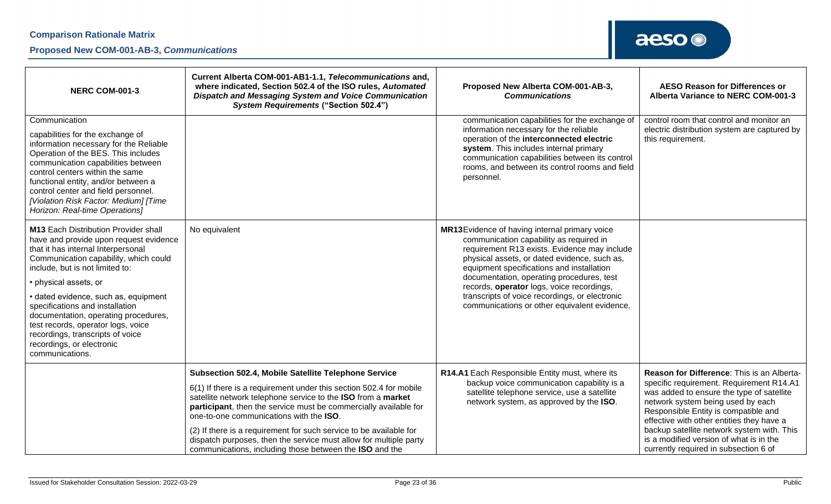| NERC COM-001-3                                                                                                                                                                                                                                                                                                                                                                                                                                                                | Current Alberta COM-001-AB1-1.1, Telecommunications and,<br>where indicated, Section 502.4 of the ISO rules, Automated<br><b>Dispatch and Messaging System and Voice Communication</b><br><b>System Requirements ("Section 502.4")</b>                                                                                                                                                                                                                                                                          | Proposed New Alberta COM-001-AB-3,<br><b>Communications</b>                                                                                                                                                                                                                                                                                                                                                                       | <b>AESO Reason for Differences or</b><br>Alberta Variance to NERC COM-001-3                                                                                                                                                                                                                                                                                                                     |
|-------------------------------------------------------------------------------------------------------------------------------------------------------------------------------------------------------------------------------------------------------------------------------------------------------------------------------------------------------------------------------------------------------------------------------------------------------------------------------|-----------------------------------------------------------------------------------------------------------------------------------------------------------------------------------------------------------------------------------------------------------------------------------------------------------------------------------------------------------------------------------------------------------------------------------------------------------------------------------------------------------------|-----------------------------------------------------------------------------------------------------------------------------------------------------------------------------------------------------------------------------------------------------------------------------------------------------------------------------------------------------------------------------------------------------------------------------------|-------------------------------------------------------------------------------------------------------------------------------------------------------------------------------------------------------------------------------------------------------------------------------------------------------------------------------------------------------------------------------------------------|
| Communication<br>capabilities for the exchange of<br>information necessary for the Reliable<br>Operation of the BES. This includes<br>communication capabilities between<br>control centers within the same<br>functional entity, and/or between a<br>control center and field personnel.<br>[Violation Risk Factor: Medium] [Time<br>Horizon: Real-time Operations]                                                                                                          |                                                                                                                                                                                                                                                                                                                                                                                                                                                                                                                 | communication capabilities for the exchange of<br>information necessary for the reliable<br>operation of the interconnected electric<br>system. This includes internal primary<br>communication capabilities between its control<br>rooms, and between its control rooms and field<br>personnel.                                                                                                                                  | control room that control and monitor an<br>electric distribution system are captured by<br>this requirement.                                                                                                                                                                                                                                                                                   |
| <b>M13 Each Distribution Provider shall</b><br>have and provide upon request evidence<br>that it has internal Interpersonal<br>Communication capability, which could<br>include, but is not limited to:<br>• physical assets, or<br>· dated evidence, such as, equipment<br>specifications and installation<br>documentation, operating procedures,<br>test records, operator logs, voice<br>recordings, transcripts of voice<br>recordings, or electronic<br>communications. | No equivalent                                                                                                                                                                                                                                                                                                                                                                                                                                                                                                   | MR13Evidence of having internal primary voice<br>communication capability as required in<br>requirement R13 exists. Evidence may include<br>physical assets, or dated evidence, such as,<br>equipment specifications and installation<br>documentation, operating procedures, test<br>records, operator logs, voice recordings,<br>transcripts of voice recordings, or electronic<br>communications or other equivalent evidence. |                                                                                                                                                                                                                                                                                                                                                                                                 |
|                                                                                                                                                                                                                                                                                                                                                                                                                                                                               | Subsection 502.4, Mobile Satellite Telephone Service<br>6(1) If there is a requirement under this section 502.4 for mobile<br>satellite network telephone service to the ISO from a market<br>participant, then the service must be commercially available for<br>one-to-one communications with the ISO.<br>(2) If there is a requirement for such service to be available for<br>dispatch purposes, then the service must allow for multiple party<br>communications, including those between the ISO and the | R14.A1 Each Responsible Entity must, where its<br>backup voice communication capability is a<br>satellite telephone service, use a satellite<br>network system, as approved by the ISO.                                                                                                                                                                                                                                           | Reason for Difference: This is an Alberta-<br>specific requirement. Requirement R14.A1<br>was added to ensure the type of satellite<br>network system being used by each<br>Responsible Entity is compatible and<br>effective with other entities they have a<br>backup satellite network system with. This<br>is a modified version of what is in the<br>currently required in subsection 6 of |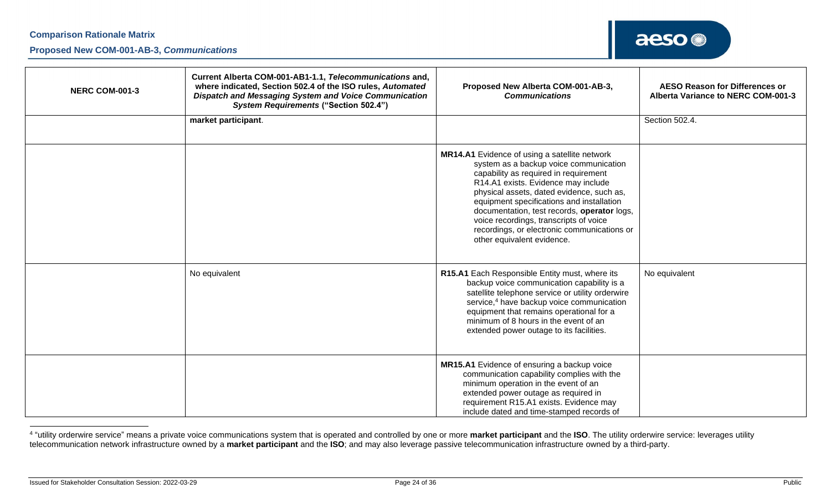| <b>NERC COM-001-3</b> | Current Alberta COM-001-AB1-1.1, Telecommunications and,<br>where indicated, Section 502.4 of the ISO rules, Automated<br><b>Dispatch and Messaging System and Voice Communication</b><br><b>System Requirements ("Section 502.4")</b> | Proposed New Alberta COM-001-AB-3,<br><b>Communications</b>                                                                                                                                                                                                                                                                                                                                                                             | <b>AESO Reason for Differences or</b><br>Alberta Variance to NERC COM-001-3 |
|-----------------------|----------------------------------------------------------------------------------------------------------------------------------------------------------------------------------------------------------------------------------------|-----------------------------------------------------------------------------------------------------------------------------------------------------------------------------------------------------------------------------------------------------------------------------------------------------------------------------------------------------------------------------------------------------------------------------------------|-----------------------------------------------------------------------------|
|                       | market participant.                                                                                                                                                                                                                    |                                                                                                                                                                                                                                                                                                                                                                                                                                         | Section 502.4.                                                              |
|                       |                                                                                                                                                                                                                                        | MR14.A1 Evidence of using a satellite network<br>system as a backup voice communication<br>capability as required in requirement<br>R14.A1 exists. Evidence may include<br>physical assets, dated evidence, such as,<br>equipment specifications and installation<br>documentation, test records, operator logs,<br>voice recordings, transcripts of voice<br>recordings, or electronic communications or<br>other equivalent evidence. |                                                                             |
|                       | No equivalent                                                                                                                                                                                                                          | R15.A1 Each Responsible Entity must, where its<br>backup voice communication capability is a<br>satellite telephone service or utility orderwire<br>service, <sup>4</sup> have backup voice communication<br>equipment that remains operational for a<br>minimum of 8 hours in the event of an<br>extended power outage to its facilities.                                                                                              | No equivalent                                                               |
|                       |                                                                                                                                                                                                                                        | MR15.A1 Evidence of ensuring a backup voice<br>communication capability complies with the<br>minimum operation in the event of an<br>extended power outage as required in<br>requirement R15.A1 exists. Evidence may<br>include dated and time-stamped records of                                                                                                                                                                       |                                                                             |

<sup>4</sup> "utility orderwire service" means a private voice communications system that is operated and controlled by one or more **market participant** and the **ISO**. The utility orderwire service: leverages utility telecommunication network infrastructure owned by a **market participant** and the **ISO**; and may also leverage passive telecommunication infrastructure owned by a third-party.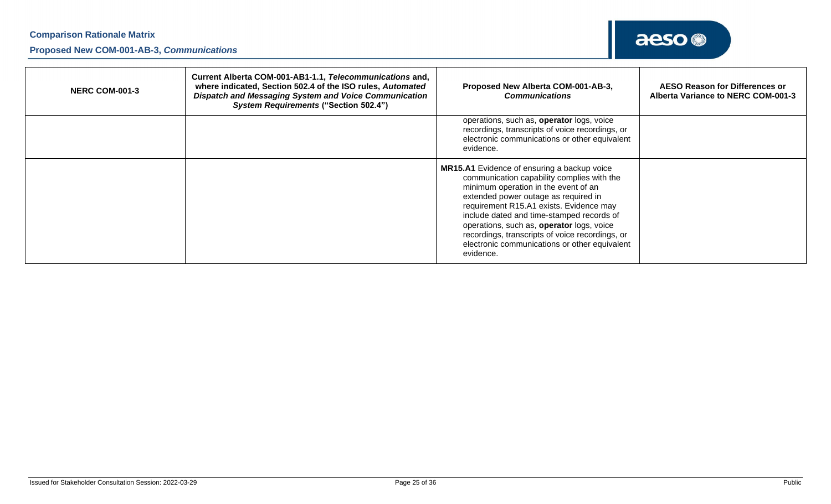| <b>NERC COM-001-3</b> | Current Alberta COM-001-AB1-1.1, Telecommunications and,<br>where indicated, Section 502.4 of the ISO rules, Automated<br>Dispatch and Messaging System and Voice Communication<br><b>System Requirements ("Section 502.4")</b> | Proposed New Alberta COM-001-AB-3,<br><b>Communications</b>                                                                                                                                                                                                                                                                                                                                                                     | <b>AESO Reason for Differences or</b><br>Alberta Variance to NERC COM-001-3 |
|-----------------------|---------------------------------------------------------------------------------------------------------------------------------------------------------------------------------------------------------------------------------|---------------------------------------------------------------------------------------------------------------------------------------------------------------------------------------------------------------------------------------------------------------------------------------------------------------------------------------------------------------------------------------------------------------------------------|-----------------------------------------------------------------------------|
|                       |                                                                                                                                                                                                                                 | operations, such as, operator logs, voice<br>recordings, transcripts of voice recordings, or<br>electronic communications or other equivalent<br>evidence.                                                                                                                                                                                                                                                                      |                                                                             |
|                       |                                                                                                                                                                                                                                 | MR15.A1 Evidence of ensuring a backup voice<br>communication capability complies with the<br>minimum operation in the event of an<br>extended power outage as required in<br>requirement R15.A1 exists. Evidence may<br>include dated and time-stamped records of<br>operations, such as, operator logs, voice<br>recordings, transcripts of voice recordings, or<br>electronic communications or other equivalent<br>evidence. |                                                                             |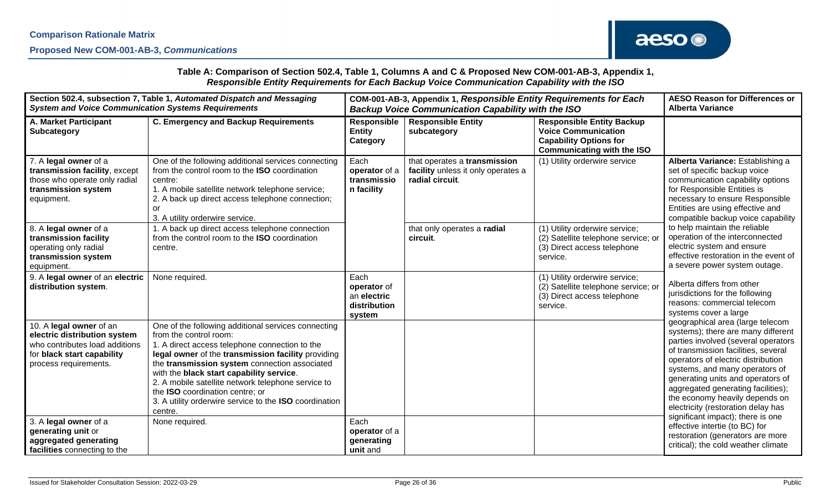## **Comparison Rationale Matrix Proposed New COM-001-AB-3,** *Communications*

#### **Table A: Comparison of Section 502.4, Table 1, Columns A and C & Proposed New COM-001-AB-3, Appendix 1,**  *Responsible Entity Requirements for Each Backup Voice Communication Capability with the ISO*

| Section 502.4, subsection 7, Table 1, Automated Dispatch and Messaging                                                                           |                                                                                                                                                                                                                                                                                                                                                                                                                                                  | COM-001-AB-3, Appendix 1, Responsible Entity Requirements for Each |                                                                                       |                                                                                                                                      | <b>AESO Reason for Differences or</b>                                                                                                                                                                                                                                                                                                                                           |
|--------------------------------------------------------------------------------------------------------------------------------------------------|--------------------------------------------------------------------------------------------------------------------------------------------------------------------------------------------------------------------------------------------------------------------------------------------------------------------------------------------------------------------------------------------------------------------------------------------------|--------------------------------------------------------------------|---------------------------------------------------------------------------------------|--------------------------------------------------------------------------------------------------------------------------------------|---------------------------------------------------------------------------------------------------------------------------------------------------------------------------------------------------------------------------------------------------------------------------------------------------------------------------------------------------------------------------------|
| <b>System and Voice Communication Systems Requirements</b>                                                                                       |                                                                                                                                                                                                                                                                                                                                                                                                                                                  | <b>Backup Voice Communication Capability with the ISO</b>          |                                                                                       |                                                                                                                                      | <b>Alberta Variance</b>                                                                                                                                                                                                                                                                                                                                                         |
| A. Market Participant<br>Subcategory                                                                                                             | <b>C. Emergency and Backup Requirements</b>                                                                                                                                                                                                                                                                                                                                                                                                      | <b>Responsible</b><br><b>Entity</b><br>Category                    | <b>Responsible Entity</b><br>subcategory                                              | <b>Responsible Entity Backup</b><br><b>Voice Communication</b><br><b>Capability Options for</b><br><b>Communicating with the ISO</b> |                                                                                                                                                                                                                                                                                                                                                                                 |
| 7. A legal owner of a<br>transmission facility, except<br>those who operate only radial<br>transmission system<br>equipment.                     | One of the following additional services connecting<br>from the control room to the <b>ISO</b> coordination<br>centre:<br>1. A mobile satellite network telephone service;<br>2. A back up direct access telephone connection;<br>or<br>3. A utility orderwire service.                                                                                                                                                                          | Each<br>operator of a<br>transmissio<br>n facility                 | that operates a transmission<br>facility unless it only operates a<br>radial circuit. | (1) Utility orderwire service                                                                                                        | Alberta Variance: Establishing a<br>set of specific backup voice<br>communication capability options<br>for Responsible Entities is<br>necessary to ensure Responsible<br>Entities are using effective and<br>compatible backup voice capability                                                                                                                                |
| 8. A legal owner of a<br>transmission facility<br>operating only radial<br>transmission system<br>equipment.                                     | 1. A back up direct access telephone connection<br>from the control room to the ISO coordination<br>centre.                                                                                                                                                                                                                                                                                                                                      |                                                                    | that only operates a radial<br>circuit.                                               | (1) Utility orderwire service;<br>(2) Satellite telephone service; or<br>(3) Direct access telephone<br>service.                     | to help maintain the reliable<br>operation of the interconnected<br>electric system and ensure<br>effective restoration in the event of<br>a severe power system outage.                                                                                                                                                                                                        |
| 9. A legal owner of an electric<br>distribution system.                                                                                          | None required.                                                                                                                                                                                                                                                                                                                                                                                                                                   | Each<br>operator of<br>an electric<br>distribution<br>system       |                                                                                       | (1) Utility orderwire service;<br>(2) Satellite telephone service; or<br>(3) Direct access telephone<br>service.                     | Alberta differs from other<br>jurisdictions for the following<br>reasons: commercial telecom<br>systems cover a large                                                                                                                                                                                                                                                           |
| 10. A legal owner of an<br>electric distribution system<br>who contributes load additions<br>for black start capability<br>process requirements. | One of the following additional services connecting<br>from the control room:<br>1. A direct access telephone connection to the<br>legal owner of the transmission facility providing<br>the transmission system connection associated<br>with the black start capability service.<br>2. A mobile satellite network telephone service to<br>the ISO coordination centre; or<br>3. A utility orderwire service to the ISO coordination<br>centre. |                                                                    |                                                                                       |                                                                                                                                      | geographical area (large telecom<br>systems); there are many different<br>parties involved (several operators<br>of transmission facilities, several<br>operators of electric distribution<br>systems, and many operators of<br>generating units and operators of<br>aggregated generating facilities);<br>the economy heavily depends on<br>electricity (restoration delay has |
| 3. A legal owner of a<br>generating unit or<br>aggregated generating<br>facilities connecting to the                                             | None required.                                                                                                                                                                                                                                                                                                                                                                                                                                   | Each<br>operator of a<br>generating<br>unit and                    |                                                                                       |                                                                                                                                      | significant impact); there is one<br>effective intertie (to BC) for<br>restoration (generators are more<br>critical); the cold weather climate                                                                                                                                                                                                                                  |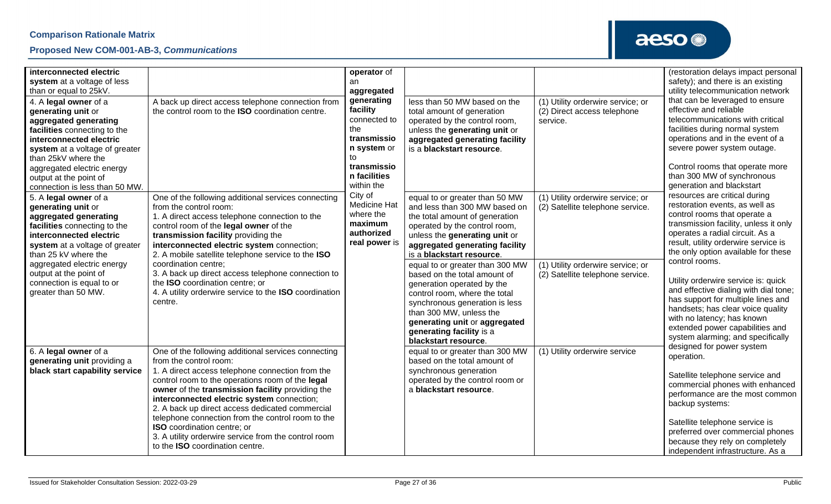

| interconnected electric<br>system at a voltage of less<br>than or equal to 25kV.<br>4. A legal owner of a<br>generating unit or<br>aggregated generating<br>facilities connecting to the<br>interconnected electric<br>system at a voltage of greater<br>than 25kV where the<br>aggregated electric energy<br>output at the point of<br>connection is less than 50 MW. | A back up direct access telephone connection from<br>the control room to the ISO coordination centre.                                                                                                                                                                                                                                                                                                                                                                                                                            | operator of<br>an<br>aggregated<br>generating<br>facility<br>connected to<br>the<br>transmissio<br>n system or<br>to<br>transmissio<br>n facilities<br>within the | less than 50 MW based on the<br>total amount of generation<br>operated by the control room,<br>unless the generating unit or<br>aggregated generating facility<br>is a blackstart resource.                                                                                                                                                                                                                                                                                                                            | (1) Utility orderwire service; or<br>(2) Direct access telephone<br>service.                                                                   | (restoration delays impact personal<br>safety); and there is an existing<br>utility telecommunication network<br>that can be leveraged to ensure<br>effective and reliable<br>telecommunications with critical<br>facilities during normal system<br>operations and in the event of a<br>severe power system outage.<br>Control rooms that operate more<br>than 300 MW of synchronous<br>generation and blackstart                                                                                                                            |
|------------------------------------------------------------------------------------------------------------------------------------------------------------------------------------------------------------------------------------------------------------------------------------------------------------------------------------------------------------------------|----------------------------------------------------------------------------------------------------------------------------------------------------------------------------------------------------------------------------------------------------------------------------------------------------------------------------------------------------------------------------------------------------------------------------------------------------------------------------------------------------------------------------------|-------------------------------------------------------------------------------------------------------------------------------------------------------------------|------------------------------------------------------------------------------------------------------------------------------------------------------------------------------------------------------------------------------------------------------------------------------------------------------------------------------------------------------------------------------------------------------------------------------------------------------------------------------------------------------------------------|------------------------------------------------------------------------------------------------------------------------------------------------|-----------------------------------------------------------------------------------------------------------------------------------------------------------------------------------------------------------------------------------------------------------------------------------------------------------------------------------------------------------------------------------------------------------------------------------------------------------------------------------------------------------------------------------------------|
| 5. A legal owner of a<br>generating unit or<br>aggregated generating<br>facilities connecting to the<br>interconnected electric<br>system at a voltage of greater<br>than 25 kV where the<br>aggregated electric energy<br>output at the point of<br>connection is equal to or<br>greater than 50 MW.                                                                  | One of the following additional services connecting<br>from the control room:<br>1. A direct access telephone connection to the<br>control room of the legal owner of the<br>transmission facility providing the<br>interconnected electric system connection;<br>2. A mobile satellite telephone service to the ISO<br>coordination centre;<br>3. A back up direct access telephone connection to<br>the <b>ISO</b> coordination centre; or<br>4. A utility orderwire service to the ISO coordination<br>centre.                | City of<br><b>Medicine Hat</b><br>where the<br>maximum<br>authorized<br>real power is                                                                             | equal to or greater than 50 MW<br>and less than 300 MW based on<br>the total amount of generation<br>operated by the control room,<br>unless the generating unit or<br>aggregated generating facility<br>is a blackstart resource.<br>equal to or greater than 300 MW<br>based on the total amount of<br>generation operated by the<br>control room, where the total<br>synchronous generation is less<br>than 300 MW, unless the<br>generating unit or aggregated<br>generating facility is a<br>blackstart resource. | (1) Utility orderwire service; or<br>(2) Satellite telephone service.<br>(1) Utility orderwire service; or<br>(2) Satellite telephone service. | resources are critical during<br>restoration events, as well as<br>control rooms that operate a<br>transmission facility, unless it only<br>operates a radial circuit. As a<br>result, utility orderwire service is<br>the only option available for these<br>control rooms.<br>Utility orderwire service is: quick<br>and effective dialing with dial tone;<br>has support for multiple lines and<br>handsets; has clear voice quality<br>with no latency; has known<br>extended power capabilities and<br>system alarming; and specifically |
| 6. A legal owner of a<br>generating unit providing a<br>black start capability service                                                                                                                                                                                                                                                                                 | One of the following additional services connecting<br>from the control room:<br>1. A direct access telephone connection from the<br>control room to the operations room of the legal<br>owner of the transmission facility providing the<br>interconnected electric system connection;<br>2. A back up direct access dedicated commercial<br>telephone connection from the control room to the<br><b>ISO</b> coordination centre; or<br>3. A utility orderwire service from the control room<br>to the ISO coordination centre. |                                                                                                                                                                   | equal to or greater than 300 MW<br>based on the total amount of<br>synchronous generation<br>operated by the control room or<br>a blackstart resource.                                                                                                                                                                                                                                                                                                                                                                 | (1) Utility orderwire service                                                                                                                  | designed for power system<br>operation.<br>Satellite telephone service and<br>commercial phones with enhanced<br>performance are the most common<br>backup systems:<br>Satellite telephone service is<br>preferred over commercial phones<br>because they rely on completely<br>independent infrastructure. As a                                                                                                                                                                                                                              |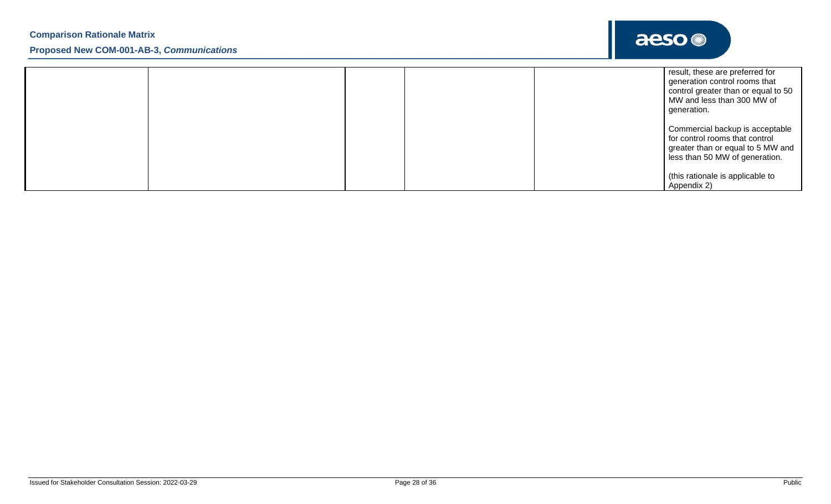|  | result, these are preferred for<br>generation control rooms that<br>control greater than or equal to 50<br>MW and less than 300 MW of<br>generation. |
|--|------------------------------------------------------------------------------------------------------------------------------------------------------|
|  | Commercial backup is acceptable<br>for control rooms that control<br>greater than or equal to 5 MW and<br>less than 50 MW of generation.             |
|  | (this rationale is applicable to<br>Appendix 2)                                                                                                      |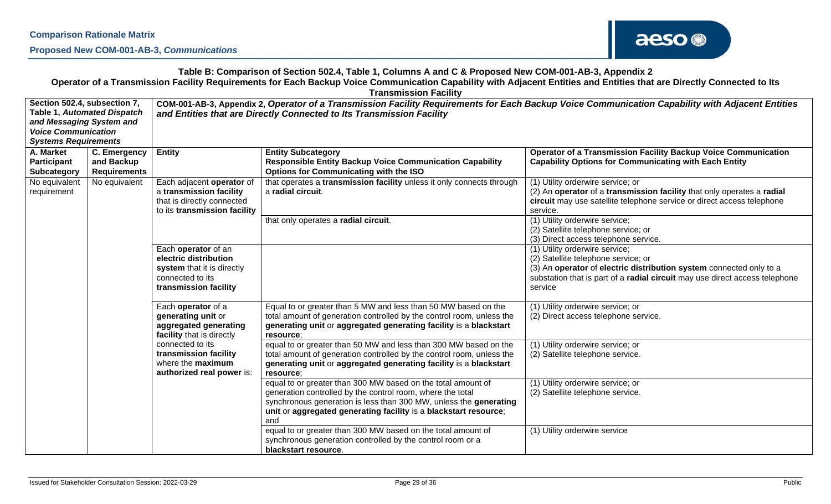

## **Table B: Comparison of Section 502.4, Table 1, Columns A and C & Proposed New COM-001-AB-3, Appendix 2 Operator of a Transmission Facility Requirements for Each Backup Voice Communication Capability with Adjacent Entities and Entities that are Directly Connected to Its Transmission Facility**

| Section 502.4, subsection 7,<br>and Messaging System and<br><b>Voice Communication</b><br><b>Systems Requirements</b>               | <b>Table 1, Automated Dispatch</b>                | COM-001-AB-3, Appendix 2, Operator of a Transmission Facility Requirements for Each Backup Voice Communication Capability with Adjacent Entities<br>and Entities that are Directly Connected to Its Transmission Facility |                                                                                                                                                                                                                                                                            |                                                                                                                                                                                                                                        |  |
|-------------------------------------------------------------------------------------------------------------------------------------|---------------------------------------------------|---------------------------------------------------------------------------------------------------------------------------------------------------------------------------------------------------------------------------|----------------------------------------------------------------------------------------------------------------------------------------------------------------------------------------------------------------------------------------------------------------------------|----------------------------------------------------------------------------------------------------------------------------------------------------------------------------------------------------------------------------------------|--|
| A. Market<br>Participant<br>Subcategory                                                                                             | C. Emergency<br>and Backup<br><b>Requirements</b> | <b>Entity</b>                                                                                                                                                                                                             | <b>Entity Subcategory</b><br><b>Responsible Entity Backup Voice Communication Capability</b><br><b>Options for Communicating with the ISO</b>                                                                                                                              | <b>Operator of a Transmission Facility Backup Voice Communication</b><br><b>Capability Options for Communicating with Each Entity</b>                                                                                                  |  |
| Each adjacent operator of<br>No equivalent<br>No equivalent<br>a transmission facility<br>requirement<br>that is directly connected |                                                   | to its transmission facility                                                                                                                                                                                              | that operates a transmission facility unless it only connects through<br>a radial circuit.                                                                                                                                                                                 | (1) Utility orderwire service; or<br>(2) An operator of a transmission facility that only operates a radial<br>circuit may use satellite telephone service or direct access telephone<br>service.                                      |  |
|                                                                                                                                     |                                                   |                                                                                                                                                                                                                           | that only operates a radial circuit.                                                                                                                                                                                                                                       | (1) Utility orderwire service;<br>(2) Satellite telephone service; or<br>(3) Direct access telephone service.                                                                                                                          |  |
|                                                                                                                                     |                                                   | Each operator of an<br>electric distribution<br>system that it is directly<br>connected to its<br>transmission facility                                                                                                   |                                                                                                                                                                                                                                                                            | (1) Utility orderwire service;<br>(2) Satellite telephone service; or<br>(3) An operator of electric distribution system connected only to a<br>substation that is part of a radial circuit may use direct access telephone<br>service |  |
|                                                                                                                                     |                                                   | Each operator of a<br>generating unit or<br>aggregated generating<br>facility that is directly                                                                                                                            | Equal to or greater than 5 MW and less than 50 MW based on the<br>total amount of generation controlled by the control room, unless the<br>generating unit or aggregated generating facility is a blackstart<br>resource:                                                  | (1) Utility orderwire service; or<br>(2) Direct access telephone service.                                                                                                                                                              |  |
|                                                                                                                                     |                                                   | connected to its<br>transmission facility<br>where the maximum<br>authorized real power is:                                                                                                                               | equal to or greater than 50 MW and less than 300 MW based on the<br>total amount of generation controlled by the control room, unless the<br>generating unit or aggregated generating facility is a blackstart<br>resource:                                                | (1) Utility orderwire service; or<br>(2) Satellite telephone service.                                                                                                                                                                  |  |
|                                                                                                                                     |                                                   |                                                                                                                                                                                                                           | equal to or greater than 300 MW based on the total amount of<br>generation controlled by the control room, where the total<br>synchronous generation is less than 300 MW, unless the generating<br>unit or aggregated generating facility is a blackstart resource;<br>and | (1) Utility orderwire service; or<br>(2) Satellite telephone service.                                                                                                                                                                  |  |
|                                                                                                                                     |                                                   |                                                                                                                                                                                                                           | equal to or greater than 300 MW based on the total amount of<br>synchronous generation controlled by the control room or a<br>blackstart resource.                                                                                                                         | (1) Utility orderwire service                                                                                                                                                                                                          |  |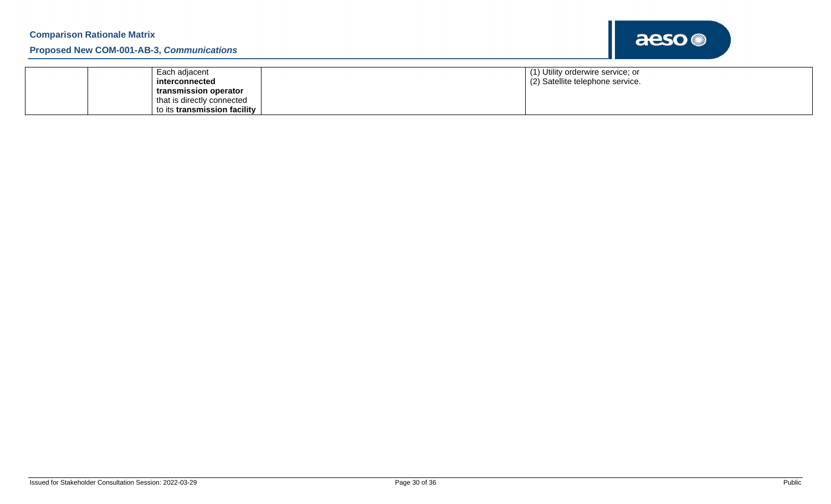| Each adjacent                | (1) Utility orderwire service; or |
|------------------------------|-----------------------------------|
| interconnected               | (2) Satellite telephone service.  |
| transmission operator        |                                   |
| that is directly connected   |                                   |
| to its transmission facility |                                   |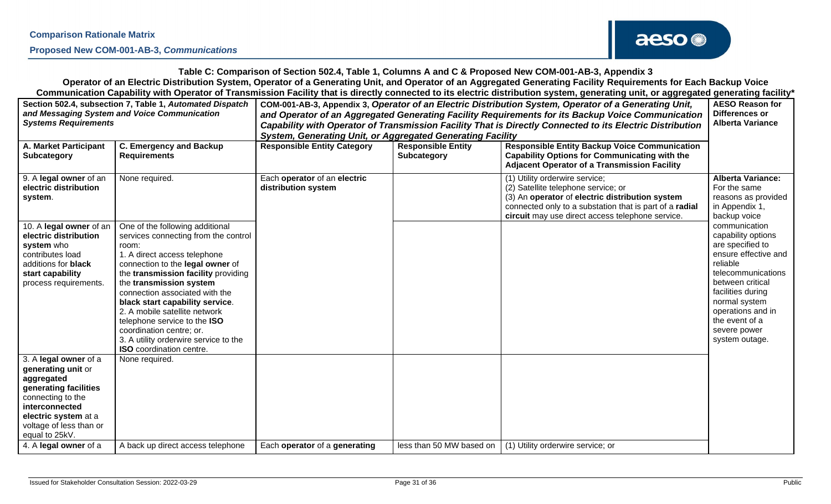

**Table C: Comparison of Section 502.4, Table 1, Columns A and C & Proposed New COM-001-AB-3, Appendix 3 Operator of an Electric Distribution System, Operator of a Generating Unit, and Operator of an Aggregated Generating Facility Requirements for Each Backup Voice Communication Capability with Operator of Transmission Facility that is directly connected to its electric distribution system, generating unit, or aggregated generating facility\***

| Section 502.4, subsection 7, Table 1, Automated Dispatch<br>and Messaging System and Voice Communication<br><b>Systems Requirements</b>                                                        |                                                                                                                                                                                                                                                                                                                                                                                                                                                               | COM-001-AB-3, Appendix 3, Operator of an Electric Distribution System, Operator of a Generating Unit,<br>and Operator of an Aggregated Generating Facility Requirements for its Backup Voice Communication<br>Capability with Operator of Transmission Facility That is Directly Connected to its Electric Distribution<br><b>System, Generating Unit, or Aggregated Generating Facility</b> | <b>AESO Reason for</b><br>Differences or<br><b>Alberta Variance</b> |                                                                                                                                                                                                                                         |                                                                                                                                                                                                                                                      |
|------------------------------------------------------------------------------------------------------------------------------------------------------------------------------------------------|---------------------------------------------------------------------------------------------------------------------------------------------------------------------------------------------------------------------------------------------------------------------------------------------------------------------------------------------------------------------------------------------------------------------------------------------------------------|----------------------------------------------------------------------------------------------------------------------------------------------------------------------------------------------------------------------------------------------------------------------------------------------------------------------------------------------------------------------------------------------|---------------------------------------------------------------------|-----------------------------------------------------------------------------------------------------------------------------------------------------------------------------------------------------------------------------------------|------------------------------------------------------------------------------------------------------------------------------------------------------------------------------------------------------------------------------------------------------|
| <b>A. Market Participant</b><br><b>Subcategory</b>                                                                                                                                             | <b>C. Emergency and Backup</b><br><b>Requirements</b>                                                                                                                                                                                                                                                                                                                                                                                                         | <b>Responsible Entity Category</b>                                                                                                                                                                                                                                                                                                                                                           | <b>Responsible Entity</b><br><b>Subcategory</b>                     | <b>Responsible Entity Backup Voice Communication</b><br><b>Capability Options for Communicating with the</b><br><b>Adjacent Operator of a Transmission Facility</b>                                                                     |                                                                                                                                                                                                                                                      |
| 9. A legal owner of an<br>electric distribution<br>system.                                                                                                                                     | None required.                                                                                                                                                                                                                                                                                                                                                                                                                                                | Each operator of an electric<br>distribution system                                                                                                                                                                                                                                                                                                                                          |                                                                     | (1) Utility orderwire service;<br>(2) Satellite telephone service; or<br>(3) An operator of electric distribution system<br>connected only to a substation that is part of a radial<br>circuit may use direct access telephone service. | <b>Alberta Variance:</b><br>For the same<br>reasons as provided<br>in Appendix 1,<br>backup voice                                                                                                                                                    |
| 10. A legal owner of an<br>electric distribution<br>system who<br>contributes load<br>additions for <b>black</b><br>start capability<br>process requirements.                                  | One of the following additional<br>services connecting from the control<br>room:<br>1. A direct access telephone<br>connection to the legal owner of<br>the transmission facility providing<br>the transmission system<br>connection associated with the<br>black start capability service.<br>2. A mobile satellite network<br>telephone service to the ISO<br>coordination centre; or.<br>3. A utility orderwire service to the<br>ISO coordination centre. |                                                                                                                                                                                                                                                                                                                                                                                              |                                                                     |                                                                                                                                                                                                                                         | communication<br>capability options<br>are specified to<br>ensure effective and<br>reliable<br>telecommunications<br>between critical<br>facilities during<br>normal system<br>operations and in<br>the event of a<br>severe power<br>system outage. |
| 3. A legal owner of a<br>generating unit or<br>aggregated<br>generating facilities<br>connecting to the<br>interconnected<br>electric system at a<br>voltage of less than or<br>equal to 25kV. | None required.                                                                                                                                                                                                                                                                                                                                                                                                                                                |                                                                                                                                                                                                                                                                                                                                                                                              |                                                                     |                                                                                                                                                                                                                                         |                                                                                                                                                                                                                                                      |
| 4. A legal owner of a                                                                                                                                                                          | A back up direct access telephone                                                                                                                                                                                                                                                                                                                                                                                                                             | Each operator of a generating                                                                                                                                                                                                                                                                                                                                                                | less than 50 MW based on                                            | (1) Utility orderwire service; or                                                                                                                                                                                                       |                                                                                                                                                                                                                                                      |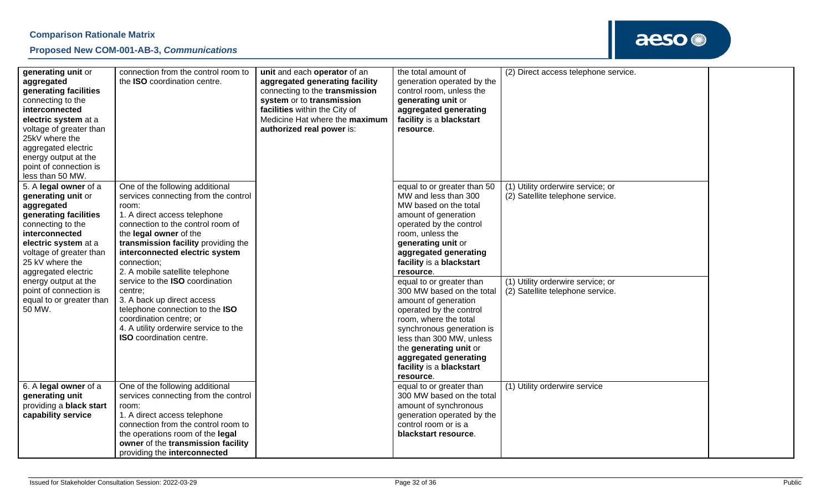

| generating unit or<br>aggregated<br>generating facilities<br>connecting to the<br>interconnected<br>electric system at a<br>voltage of greater than<br>25kV where the<br>aggregated electric<br>energy output at the<br>point of connection is<br>less than 50 MW. | connection from the control room to<br>the ISO coordination centre.                                                                                                                                                                                                                                        | unit and each operator of an<br>aggregated generating facility<br>connecting to the transmission<br>system or to transmission<br>facilities within the City of<br>Medicine Hat where the maximum<br>authorized real power is: | the total amount of<br>generation operated by the<br>control room, unless the<br>generating unit or<br>aggregated generating<br>facility is a blackstart<br>resource.                                                                                                                  | (2) Direct access telephone service.                                  |  |
|--------------------------------------------------------------------------------------------------------------------------------------------------------------------------------------------------------------------------------------------------------------------|------------------------------------------------------------------------------------------------------------------------------------------------------------------------------------------------------------------------------------------------------------------------------------------------------------|-------------------------------------------------------------------------------------------------------------------------------------------------------------------------------------------------------------------------------|----------------------------------------------------------------------------------------------------------------------------------------------------------------------------------------------------------------------------------------------------------------------------------------|-----------------------------------------------------------------------|--|
| 5. A legal owner of a<br>generating unit or<br>aggregated<br>generating facilities<br>connecting to the<br>interconnected<br>electric system at a<br>voltage of greater than<br>25 kV where the<br>aggregated electric                                             | One of the following additional<br>services connecting from the control<br>room:<br>1. A direct access telephone<br>connection to the control room of<br>the legal owner of the<br>transmission facility providing the<br>interconnected electric system<br>connection;<br>2. A mobile satellite telephone |                                                                                                                                                                                                                               | equal to or greater than 50<br>MW and less than 300<br>MW based on the total<br>amount of generation<br>operated by the control<br>room, unless the<br>generating unit or<br>aggregated generating<br>facility is a blackstart<br>resource.                                            | (1) Utility orderwire service; or<br>(2) Satellite telephone service. |  |
| energy output at the<br>point of connection is<br>equal to or greater than<br>50 MW.                                                                                                                                                                               | service to the ISO coordination<br>centre;<br>3. A back up direct access<br>telephone connection to the ISO<br>coordination centre; or<br>4. A utility orderwire service to the<br><b>ISO</b> coordination centre.                                                                                         |                                                                                                                                                                                                                               | equal to or greater than<br>300 MW based on the total<br>amount of generation<br>operated by the control<br>room, where the total<br>synchronous generation is<br>less than 300 MW, unless<br>the generating unit or<br>aggregated generating<br>facility is a blackstart<br>resource. | (1) Utility orderwire service; or<br>(2) Satellite telephone service. |  |
| 6. A legal owner of a<br>generating unit<br>providing a <b>black start</b><br>capability service                                                                                                                                                                   | One of the following additional<br>services connecting from the control<br>room:<br>1. A direct access telephone<br>connection from the control room to<br>the operations room of the legal<br>owner of the transmission facility<br>providing the interconnected                                          |                                                                                                                                                                                                                               | equal to or greater than<br>300 MW based on the total<br>amount of synchronous<br>generation operated by the<br>control room or is a<br>blackstart resource.                                                                                                                           | (1) Utility orderwire service                                         |  |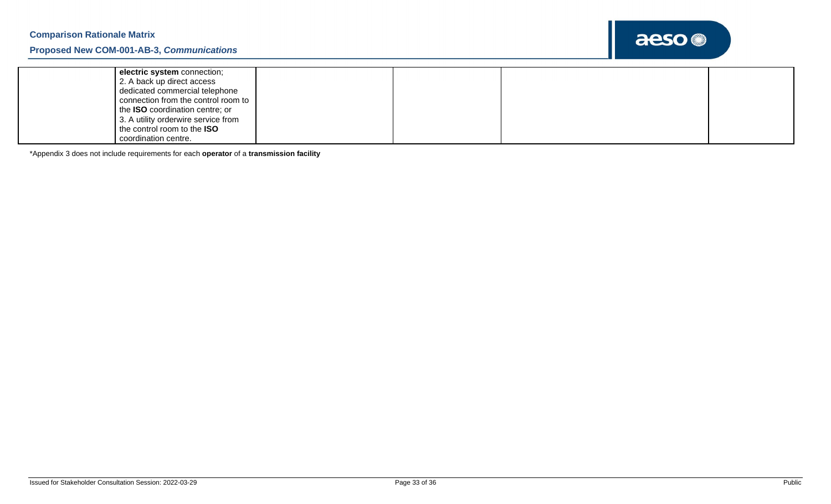

| electric system connection;            |  |  |
|----------------------------------------|--|--|
| 2. A back up direct access             |  |  |
| dedicated commercial telephone         |  |  |
| connection from the control room to    |  |  |
| the <b>ISO</b> coordination centre; or |  |  |
| 3. A utility orderwire service from    |  |  |
| the control room to the <b>ISO</b>     |  |  |
| coordination centre.                   |  |  |

\*Appendix 3 does not include requirements for each **operator** of a **transmission facility**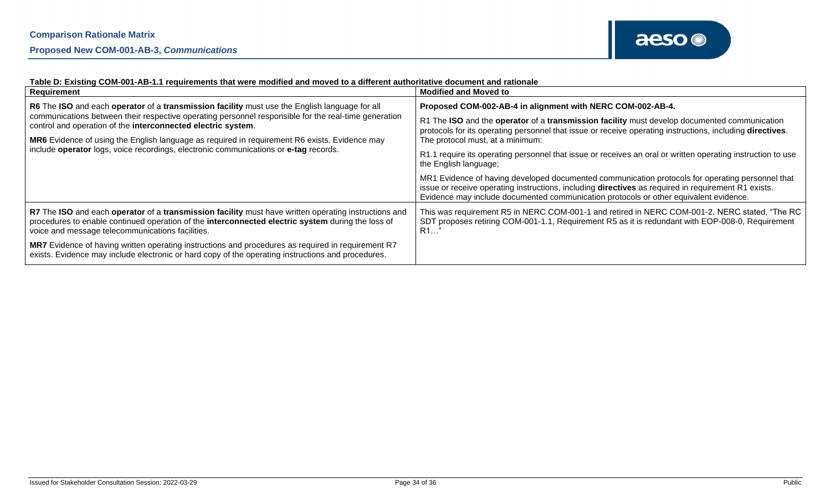| Requirement                                                                                                                                                                                                                                                   | <b>Modified and Moved to</b>                                                                                                                                                                                                                                                                     |  |
|---------------------------------------------------------------------------------------------------------------------------------------------------------------------------------------------------------------------------------------------------------------|--------------------------------------------------------------------------------------------------------------------------------------------------------------------------------------------------------------------------------------------------------------------------------------------------|--|
| R6 The ISO and each operator of a transmission facility must use the English language for all                                                                                                                                                                 | Proposed COM-002-AB-4 in alignment with NERC COM-002-AB-4.                                                                                                                                                                                                                                       |  |
| communications between their respective operating personnel responsible for the real-time generation<br>control and operation of the interconnected electric system.                                                                                          | R1 The ISO and the operator of a transmission facility must develop documented communication<br>protocols for its operating personnel that issue or receive operating instructions, including directives.                                                                                        |  |
| MR6 Evidence of using the English language as required in requirement R6 exists. Evidence may                                                                                                                                                                 | The protocol must, at a minimum:                                                                                                                                                                                                                                                                 |  |
| include operator logs, voice recordings, electronic communications or e-tag records.                                                                                                                                                                          | R1.1 require its operating personnel that issue or receives an oral or written operating instruction to use<br>the English language;                                                                                                                                                             |  |
|                                                                                                                                                                                                                                                               | MR1 Evidence of having developed documented communication protocols for operating personnel that<br>issue or receive operating instructions, including directives as required in requirement R1 exists.<br>Evidence may include documented communication protocols or other equivalent evidence. |  |
| R7 The ISO and each operator of a transmission facility must have written operating instructions and<br>procedures to enable continued operation of the interconnected electric system during the loss of<br>voice and message telecommunications facilities. | This was requirement R5 in NERC COM-001-1 and retired in NERC COM-001-2. NERC stated, "The RC<br>SDT proposes retiring COM-001-1.1, Requirement R5 as it is redundant with EOP-008-0, Requirement<br>R1                                                                                          |  |
| MR7 Evidence of having written operating instructions and procedures as required in requirement R7<br>exists. Evidence may include electronic or hard copy of the operating instructions and procedures.                                                      |                                                                                                                                                                                                                                                                                                  |  |

#### **Table D: Existing COM-001-AB-1.1 requirements that were modified and moved to a different authoritative document and rationale**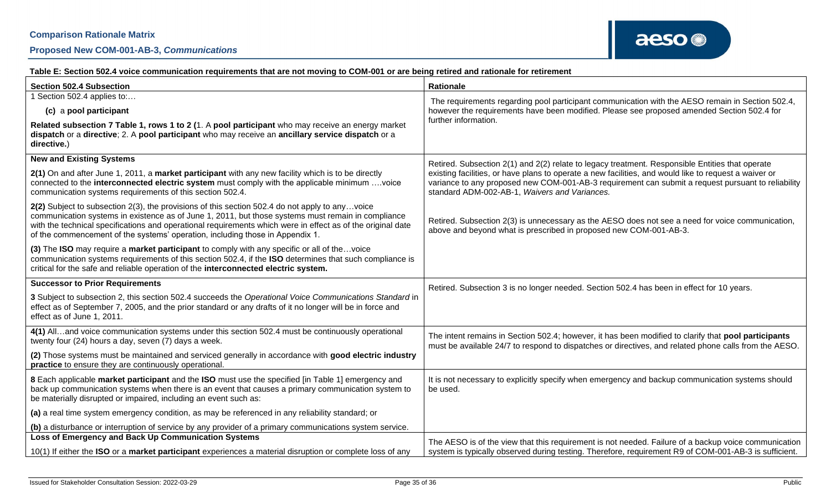### **Table E: Section 502.4 voice communication requirements that are not moving to COM-001 or are being retired and rationale for retirement**

| <b>Section 502.4 Subsection</b>                                                                                                                                                                                                                                                                                                                                                                      | Rationale                                                                                                                                                                                                                                                    |  |  |
|------------------------------------------------------------------------------------------------------------------------------------------------------------------------------------------------------------------------------------------------------------------------------------------------------------------------------------------------------------------------------------------------------|--------------------------------------------------------------------------------------------------------------------------------------------------------------------------------------------------------------------------------------------------------------|--|--|
| Section 502.4 applies to:                                                                                                                                                                                                                                                                                                                                                                            | The requirements regarding pool participant communication with the AESO remain in Section 502.4,                                                                                                                                                             |  |  |
| (c) a pool participant                                                                                                                                                                                                                                                                                                                                                                               | however the requirements have been modified. Please see proposed amended Section 502.4 for                                                                                                                                                                   |  |  |
| Related subsection 7 Table 1, rows 1 to 2 (1. A pool participant who may receive an energy market<br>dispatch or a directive; 2. A pool participant who may receive an ancillary service dispatch or a<br>directive.)                                                                                                                                                                                | further information.                                                                                                                                                                                                                                         |  |  |
| <b>New and Existing Systems</b>                                                                                                                                                                                                                                                                                                                                                                      | Retired. Subsection 2(1) and 2(2) relate to legacy treatment. Responsible Entities that operate                                                                                                                                                              |  |  |
| 2(1) On and after June 1, 2011, a market participant with any new facility which is to be directly<br>connected to the interconnected electric system must comply with the applicable minimum voice<br>communication systems requirements of this section 502.4.                                                                                                                                     | existing facilities, or have plans to operate a new facilities, and would like to request a waiver or<br>variance to any proposed new COM-001-AB-3 requirement can submit a request pursuant to reliability<br>standard ADM-002-AB-1, Waivers and Variances. |  |  |
| 2(2) Subject to subsection 2(3), the provisions of this section 502.4 do not apply to anyvoice<br>communication systems in existence as of June 1, 2011, but those systems must remain in compliance<br>with the technical specifications and operational requirements which were in effect as of the original date<br>of the commencement of the systems' operation, including those in Appendix 1. | Retired. Subsection 2(3) is unnecessary as the AESO does not see a need for voice communication,<br>above and beyond what is prescribed in proposed new COM-001-AB-3.                                                                                        |  |  |
| (3) The ISO may require a market participant to comply with any specific or all of thevoice<br>communication systems requirements of this section 502.4, if the ISO determines that such compliance is<br>critical for the safe and reliable operation of the interconnected electric system.                                                                                                        |                                                                                                                                                                                                                                                              |  |  |
| <b>Successor to Prior Requirements</b>                                                                                                                                                                                                                                                                                                                                                               | Retired. Subsection 3 is no longer needed. Section 502.4 has been in effect for 10 years.                                                                                                                                                                    |  |  |
| 3 Subject to subsection 2, this section 502.4 succeeds the Operational Voice Communications Standard in<br>effect as of September 7, 2005, and the prior standard or any drafts of it no longer will be in force and<br>effect as of June 1, 2011.                                                                                                                                                   |                                                                                                                                                                                                                                                              |  |  |
| 4(1) Alland voice communication systems under this section 502.4 must be continuously operational<br>twenty four (24) hours a day, seven (7) days a week.                                                                                                                                                                                                                                            | The intent remains in Section 502.4; however, it has been modified to clarify that pool participants<br>must be available 24/7 to respond to dispatches or directives, and related phone calls from the AESO.                                                |  |  |
| (2) Those systems must be maintained and serviced generally in accordance with good electric industry<br>practice to ensure they are continuously operational.                                                                                                                                                                                                                                       |                                                                                                                                                                                                                                                              |  |  |
| 8 Each applicable market participant and the ISO must use the specified [in Table 1] emergency and<br>back up communication systems when there is an event that causes a primary communication system to<br>be materially disrupted or impaired, including an event such as:                                                                                                                         | It is not necessary to explicitly specify when emergency and backup communication systems should<br>be used.                                                                                                                                                 |  |  |
| (a) a real time system emergency condition, as may be referenced in any reliability standard; or                                                                                                                                                                                                                                                                                                     |                                                                                                                                                                                                                                                              |  |  |
| (b) a disturbance or interruption of service by any provider of a primary communications system service.                                                                                                                                                                                                                                                                                             |                                                                                                                                                                                                                                                              |  |  |
| Loss of Emergency and Back Up Communication Systems                                                                                                                                                                                                                                                                                                                                                  | The AESO is of the view that this requirement is not needed. Failure of a backup voice communication                                                                                                                                                         |  |  |
| 10(1) If either the ISO or a market participant experiences a material disruption or complete loss of any                                                                                                                                                                                                                                                                                            | system is typically observed during testing. Therefore, requirement R9 of COM-001-AB-3 is sufficient.                                                                                                                                                        |  |  |